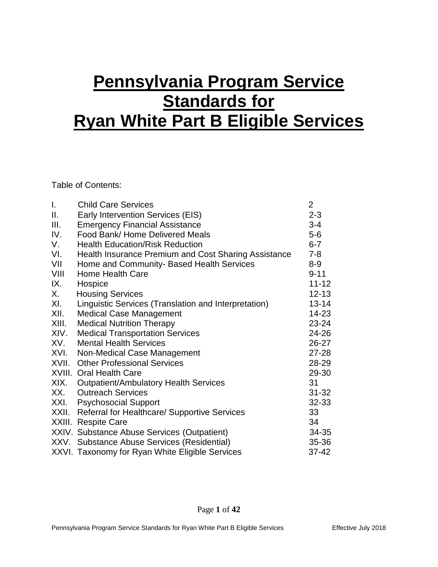# **Pennsylvania Program Service Standards for Ryan White Part B Eligible Services**

Table of Contents:

| Τ.    | <b>Child Care Services</b>                           | $\overline{2}$ |
|-------|------------------------------------------------------|----------------|
| Ш.    | Early Intervention Services (EIS)                    | $2 - 3$        |
| III.  | <b>Emergency Financial Assistance</b>                | $3 - 4$        |
| IV.   | Food Bank/Home Delivered Meals                       | $5-6$          |
| V.    | <b>Health Education/Risk Reduction</b>               | $6 - 7$        |
| VI.   | Health Insurance Premium and Cost Sharing Assistance | $7 - 8$        |
| VII   | Home and Community- Based Health Services            | $8-9$          |
| VIII  | <b>Home Health Care</b>                              | $9 - 11$       |
| IX.   | Hospice                                              | $11 - 12$      |
| X.    | <b>Housing Services</b>                              | $12 - 13$      |
| XI.   | Linguistic Services (Translation and Interpretation) | $13 - 14$      |
| XII.  | <b>Medical Case Management</b>                       | 14-23          |
| XIII. | <b>Medical Nutrition Therapy</b>                     | 23-24          |
| XIV.  | <b>Medical Transportation Services</b>               | 24-26          |
| XV.   | <b>Mental Health Services</b>                        | 26-27          |
| XVI.  | Non-Medical Case Management                          | 27-28          |
| XVII. | <b>Other Professional Services</b>                   | 28-29          |
|       | <b>XVIII. Oral Health Care</b>                       | 29-30          |
| XIX.  | <b>Outpatient/Ambulatory Health Services</b>         | 31             |
| XX.   | <b>Outreach Services</b>                             | $31 - 32$      |
|       | XXI. Psychosocial Support                            | 32-33          |
|       | XXII. Referral for Healthcare/ Supportive Services   | 33             |
|       | XXIII. Respite Care                                  | 34             |
|       | XXIV. Substance Abuse Services (Outpatient)          | 34-35          |
|       | XXV. Substance Abuse Services (Residential)          | 35-36          |
|       | XXVI Tayonomy for Ryan White Fligible Services       | 37-12          |

XXVI. Taxonomy for Ryan White Eligible Services  $37-42$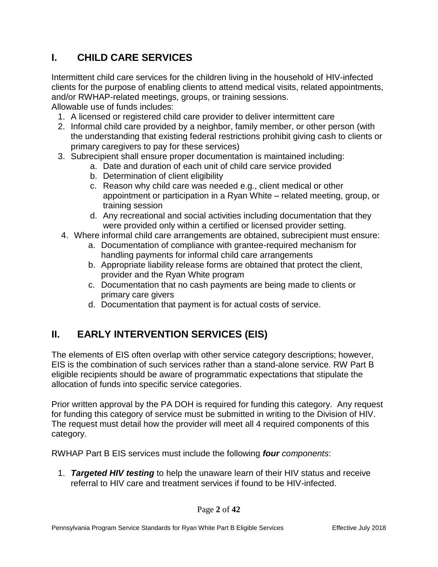# **I. CHILD CARE SERVICES**

Intermittent child care services for the children living in the household of HIV-infected clients for the purpose of enabling clients to attend medical visits, related appointments, and/or RWHAP-related meetings, groups, or training sessions.

Allowable use of funds includes:

- 1. A licensed or registered child care provider to deliver intermittent care
- 2. Informal child care provided by a neighbor, family member, or other person (with the understanding that existing federal restrictions prohibit giving cash to clients or primary caregivers to pay for these services)
- 3. Subrecipient shall ensure proper documentation is maintained including:
	- a. Date and duration of each unit of child care service provided
	- b. Determination of client eligibility
	- c. Reason why child care was needed e.g., client medical or other appointment or participation in a Ryan White – related meeting, group, or training session
	- d. Any recreational and social activities including documentation that they were provided only within a certified or licensed provider setting.
- 4. Where informal child care arrangements are obtained, subrecipient must ensure:
	- a. Documentation of compliance with grantee-required mechanism for handling payments for informal child care arrangements
	- b. Appropriate liability release forms are obtained that protect the client, provider and the Ryan White program
	- c. Documentation that no cash payments are being made to clients or primary care givers
	- d. Documentation that payment is for actual costs of service.

# **II. EARLY INTERVENTION SERVICES (EIS)**

The elements of EIS often overlap with other service category descriptions; however, EIS is the combination of such services rather than a stand-alone service. RW Part B eligible recipients should be aware of programmatic expectations that stipulate the allocation of funds into specific service categories.

Prior written approval by the PA DOH is required for funding this category. Any request for funding this category of service must be submitted in writing to the Division of HIV. The request must detail how the provider will meet all 4 required components of this category.

RWHAP Part B EIS services must include the following *four components*:

1. *Targeted HIV testing* to help the unaware learn of their HIV status and receive referral to HIV care and treatment services if found to be HIV-infected.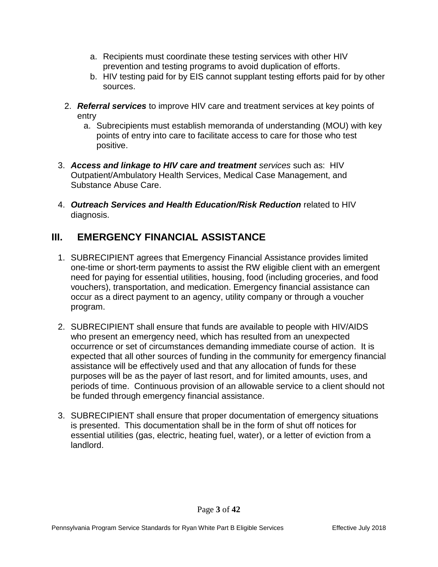- a. Recipients must coordinate these testing services with other HIV prevention and testing programs to avoid duplication of efforts.
- b. HIV testing paid for by EIS cannot supplant testing efforts paid for by other sources.
- 2. *Referral services* to improve HIV care and treatment services at key points of entry
	- a. Subrecipients must establish memoranda of understanding (MOU) with key points of entry into care to facilitate access to care for those who test positive.
- 3. *Access and linkage to HIV care and treatment services* such as: HIV Outpatient/Ambulatory Health Services, Medical Case Management, and Substance Abuse Care.
- 4. *Outreach Services and Health Education/Risk Reduction* related to HIV diagnosis.

## **III. EMERGENCY FINANCIAL ASSISTANCE**

- 1. SUBRECIPIENT agrees that Emergency Financial Assistance provides limited one-time or short-term payments to assist the RW eligible client with an emergent need for paying for essential utilities, housing, food (including groceries, and food vouchers), transportation, and medication. Emergency financial assistance can occur as a direct payment to an agency, utility company or through a voucher program.
- 2. SUBRECIPIENT shall ensure that funds are available to people with HIV/AIDS who present an emergency need, which has resulted from an unexpected occurrence or set of circumstances demanding immediate course of action. It is expected that all other sources of funding in the community for emergency financial assistance will be effectively used and that any allocation of funds for these purposes will be as the payer of last resort, and for limited amounts, uses, and periods of time. Continuous provision of an allowable service to a client should not be funded through emergency financial assistance.
- 3. SUBRECIPIENT shall ensure that proper documentation of emergency situations is presented. This documentation shall be in the form of shut off notices for essential utilities (gas, electric, heating fuel, water), or a letter of eviction from a landlord.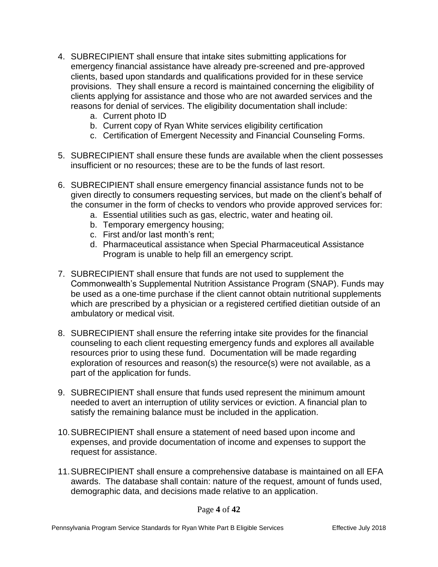- 4. SUBRECIPIENT shall ensure that intake sites submitting applications for emergency financial assistance have already pre-screened and pre-approved clients, based upon standards and qualifications provided for in these service provisions. They shall ensure a record is maintained concerning the eligibility of clients applying for assistance and those who are not awarded services and the reasons for denial of services. The eligibility documentation shall include:
	- a. Current photo ID
	- b. Current copy of Ryan White services eligibility certification
	- c. Certification of Emergent Necessity and Financial Counseling Forms.
- 5. SUBRECIPIENT shall ensure these funds are available when the client possesses insufficient or no resources; these are to be the funds of last resort.
- 6. SUBRECIPIENT shall ensure emergency financial assistance funds not to be given directly to consumers requesting services, but made on the client's behalf of the consumer in the form of checks to vendors who provide approved services for:
	- a. Essential utilities such as gas, electric, water and heating oil.
	- b. Temporary emergency housing;
	- c. First and/or last month's rent;
	- d. Pharmaceutical assistance when Special Pharmaceutical Assistance Program is unable to help fill an emergency script.
- 7. SUBRECIPIENT shall ensure that funds are not used to supplement the Commonwealth's Supplemental Nutrition Assistance Program (SNAP). Funds may be used as a one-time purchase if the client cannot obtain nutritional supplements which are prescribed by a physician or a registered certified dietitian outside of an ambulatory or medical visit.
- 8. SUBRECIPIENT shall ensure the referring intake site provides for the financial counseling to each client requesting emergency funds and explores all available resources prior to using these fund. Documentation will be made regarding exploration of resources and reason(s) the resource(s) were not available, as a part of the application for funds.
- 9. SUBRECIPIENT shall ensure that funds used represent the minimum amount needed to avert an interruption of utility services or eviction. A financial plan to satisfy the remaining balance must be included in the application.
- 10.SUBRECIPIENT shall ensure a statement of need based upon income and expenses, and provide documentation of income and expenses to support the request for assistance.
- 11.SUBRECIPIENT shall ensure a comprehensive database is maintained on all EFA awards. The database shall contain: nature of the request, amount of funds used, demographic data, and decisions made relative to an application.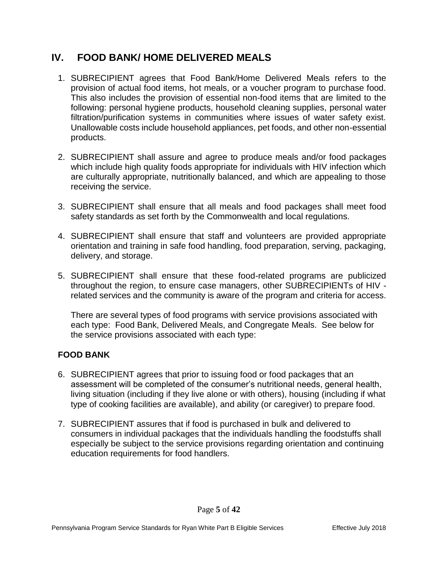#### **IV. FOOD BANK/ HOME DELIVERED MEALS**

- 1. SUBRECIPIENT agrees that Food Bank/Home Delivered Meals refers to the provision of actual food items, hot meals, or a voucher program to purchase food. This also includes the provision of essential non-food items that are limited to the following: personal hygiene products, household cleaning supplies, personal water filtration/purification systems in communities where issues of water safety exist. Unallowable costs include household appliances, pet foods, and other non-essential products.
- 2. SUBRECIPIENT shall assure and agree to produce meals and/or food packages which include high quality foods appropriate for individuals with HIV infection which are culturally appropriate, nutritionally balanced, and which are appealing to those receiving the service.
- 3. SUBRECIPIENT shall ensure that all meals and food packages shall meet food safety standards as set forth by the Commonwealth and local regulations.
- 4. SUBRECIPIENT shall ensure that staff and volunteers are provided appropriate orientation and training in safe food handling, food preparation, serving, packaging, delivery, and storage.
- 5. SUBRECIPIENT shall ensure that these food-related programs are publicized throughout the region, to ensure case managers, other SUBRECIPIENTs of HIV related services and the community is aware of the program and criteria for access.

There are several types of food programs with service provisions associated with each type: Food Bank, Delivered Meals, and Congregate Meals. See below for the service provisions associated with each type:

#### **FOOD BANK**

- 6. SUBRECIPIENT agrees that prior to issuing food or food packages that an assessment will be completed of the consumer's nutritional needs, general health, living situation (including if they live alone or with others), housing (including if what type of cooking facilities are available), and ability (or caregiver) to prepare food.
- 7. SUBRECIPIENT assures that if food is purchased in bulk and delivered to consumers in individual packages that the individuals handling the foodstuffs shall especially be subject to the service provisions regarding orientation and continuing education requirements for food handlers.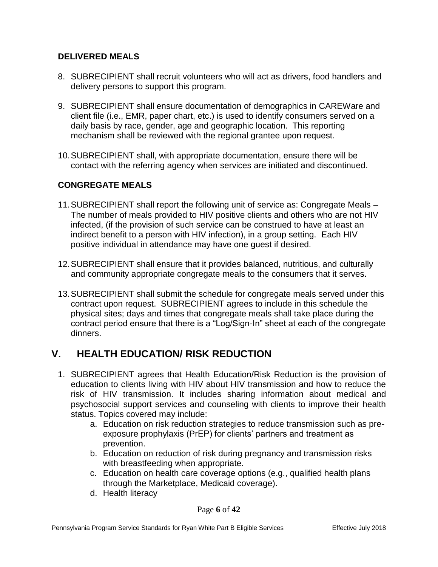#### **DELIVERED MEALS**

- 8. SUBRECIPIENT shall recruit volunteers who will act as drivers, food handlers and delivery persons to support this program.
- 9. SUBRECIPIENT shall ensure documentation of demographics in CAREWare and client file (i.e., EMR, paper chart, etc.) is used to identify consumers served on a daily basis by race, gender, age and geographic location. This reporting mechanism shall be reviewed with the regional grantee upon request.
- 10.SUBRECIPIENT shall, with appropriate documentation, ensure there will be contact with the referring agency when services are initiated and discontinued.

#### **CONGREGATE MEALS**

- 11.SUBRECIPIENT shall report the following unit of service as: Congregate Meals The number of meals provided to HIV positive clients and others who are not HIV infected, (if the provision of such service can be construed to have at least an indirect benefit to a person with HIV infection), in a group setting. Each HIV positive individual in attendance may have one guest if desired.
- 12.SUBRECIPIENT shall ensure that it provides balanced, nutritious, and culturally and community appropriate congregate meals to the consumers that it serves.
- 13.SUBRECIPIENT shall submit the schedule for congregate meals served under this contract upon request. SUBRECIPIENT agrees to include in this schedule the physical sites; days and times that congregate meals shall take place during the contract period ensure that there is a "Log/Sign-In" sheet at each of the congregate dinners.

#### **V. HEALTH EDUCATION/ RISK REDUCTION**

- 1. SUBRECIPIENT agrees that Health Education/Risk Reduction is the provision of education to clients living with HIV about HIV transmission and how to reduce the risk of HIV transmission. It includes sharing information about medical and psychosocial support services and counseling with clients to improve their health status. Topics covered may include:
	- a. Education on risk reduction strategies to reduce transmission such as preexposure prophylaxis (PrEP) for clients' partners and treatment as prevention.
	- b. Education on reduction of risk during pregnancy and transmission risks with breastfeeding when appropriate.
	- c. Education on health care coverage options (e.g., qualified health plans through the Marketplace, Medicaid coverage).
	- d. Health literacy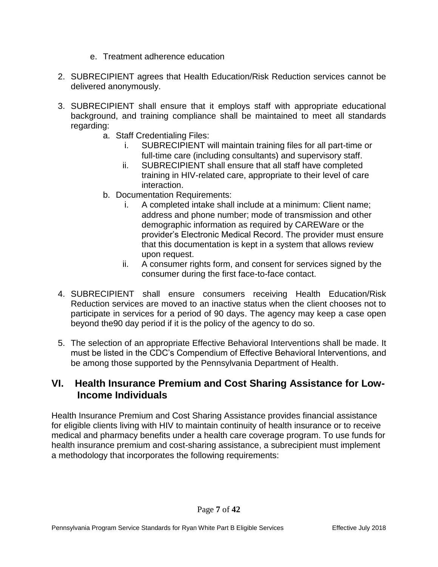- e. Treatment adherence education
- 2. SUBRECIPIENT agrees that Health Education/Risk Reduction services cannot be delivered anonymously.
- 3. SUBRECIPIENT shall ensure that it employs staff with appropriate educational background, and training compliance shall be maintained to meet all standards regarding:
	- a. Staff Credentialing Files:
		- i. SUBRECIPIENT will maintain training files for all part-time or full-time care (including consultants) and supervisory staff.
		- ii. SUBRECIPIENT shall ensure that all staff have completed training in HIV-related care, appropriate to their level of care interaction.
	- b. Documentation Requirements:
		- i. A completed intake shall include at a minimum: Client name; address and phone number; mode of transmission and other demographic information as required by CAREWare or the provider's Electronic Medical Record. The provider must ensure that this documentation is kept in a system that allows review upon request.
		- ii. A consumer rights form, and consent for services signed by the consumer during the first face-to-face contact.
- 4. SUBRECIPIENT shall ensure consumers receiving Health Education/Risk Reduction services are moved to an inactive status when the client chooses not to participate in services for a period of 90 days. The agency may keep a case open beyond the90 day period if it is the policy of the agency to do so.
- 5. The selection of an appropriate Effective Behavioral Interventions shall be made. It must be listed in the CDC's Compendium of Effective Behavioral Interventions, and be among those supported by the Pennsylvania Department of Health.

#### **VI. Health Insurance Premium and Cost Sharing Assistance for Low-Income Individuals**

Health Insurance Premium and Cost Sharing Assistance provides financial assistance for eligible clients living with HIV to maintain continuity of health insurance or to receive medical and pharmacy benefits under a health care coverage program. To use funds for health insurance premium and cost-sharing assistance, a subrecipient must implement a methodology that incorporates the following requirements: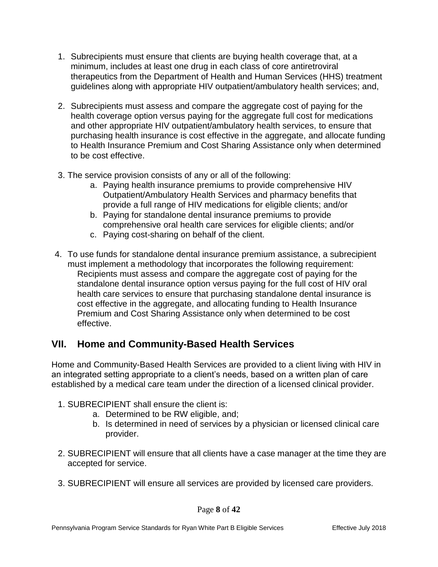- 1. Subrecipients must ensure that clients are buying health coverage that, at a minimum, includes at least one drug in each class of core antiretroviral therapeutics from the Department of Health and Human Services (HHS) treatment guidelines along with appropriate HIV outpatient/ambulatory health services; and,
- 2. Subrecipients must assess and compare the aggregate cost of paying for the health coverage option versus paying for the aggregate full cost for medications and other appropriate HIV outpatient/ambulatory health services, to ensure that purchasing health insurance is cost effective in the aggregate, and allocate funding to Health Insurance Premium and Cost Sharing Assistance only when determined to be cost effective.
- 3. The service provision consists of any or all of the following:
	- a. Paying health insurance premiums to provide comprehensive HIV Outpatient/Ambulatory Health Services and pharmacy benefits that provide a full range of HIV medications for eligible clients; and/or
	- b. Paying for standalone dental insurance premiums to provide comprehensive oral health care services for eligible clients; and/or
	- c. Paying cost-sharing on behalf of the client.
- 4. To use funds for standalone dental insurance premium assistance, a subrecipient must implement a methodology that incorporates the following requirement: Recipients must assess and compare the aggregate cost of paying for the standalone dental insurance option versus paying for the full cost of HIV oral health care services to ensure that purchasing standalone dental insurance is cost effective in the aggregate, and allocating funding to Health Insurance Premium and Cost Sharing Assistance only when determined to be cost effective.

#### **VII. Home and Community-Based Health Services**

Home and Community-Based Health Services are provided to a client living with HIV in an integrated setting appropriate to a client's needs, based on a written plan of care established by a medical care team under the direction of a licensed clinical provider.

- 1. SUBRECIPIENT shall ensure the client is:
	- a. Determined to be RW eligible, and;
	- b. Is determined in need of services by a physician or licensed clinical care provider.
- 2. SUBRECIPIENT will ensure that all clients have a case manager at the time they are accepted for service.
- 3. SUBRECIPIENT will ensure all services are provided by licensed care providers.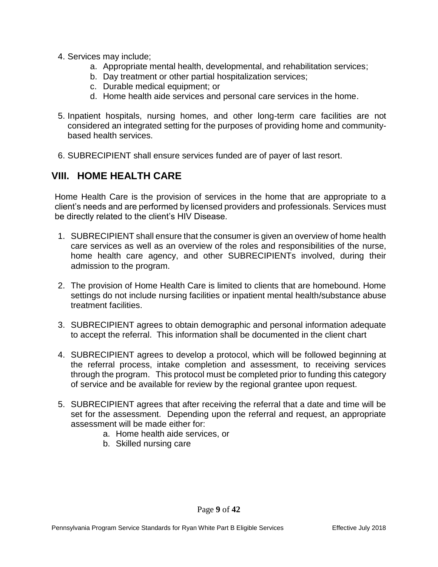- 4. Services may include;
	- a. Appropriate mental health, developmental, and rehabilitation services;
	- b. Day treatment or other partial hospitalization services;
	- c. Durable medical equipment; or
	- d. Home health aide services and personal care services in the home.
- 5. Inpatient hospitals, nursing homes, and other long-term care facilities are not considered an integrated setting for the purposes of providing home and communitybased health services.
- 6. SUBRECIPIENT shall ensure services funded are of payer of last resort.

#### **VIII. HOME HEALTH CARE**

Home Health Care is the provision of services in the home that are appropriate to a client's needs and are performed by licensed providers and professionals. Services must be directly related to the client's HIV Disease.

- 1. SUBRECIPIENT shall ensure that the consumer is given an overview of home health care services as well as an overview of the roles and responsibilities of the nurse, home health care agency, and other SUBRECIPIENTs involved, during their admission to the program.
- 2. The provision of Home Health Care is limited to clients that are homebound. Home settings do not include nursing facilities or inpatient mental health/substance abuse treatment facilities.
- 3. SUBRECIPIENT agrees to obtain demographic and personal information adequate to accept the referral. This information shall be documented in the client chart
- 4. SUBRECIPIENT agrees to develop a protocol, which will be followed beginning at the referral process, intake completion and assessment, to receiving services through the program. This protocol must be completed prior to funding this category of service and be available for review by the regional grantee upon request.
- 5. SUBRECIPIENT agrees that after receiving the referral that a date and time will be set for the assessment. Depending upon the referral and request, an appropriate assessment will be made either for:
	- a. Home health aide services, or
	- b. Skilled nursing care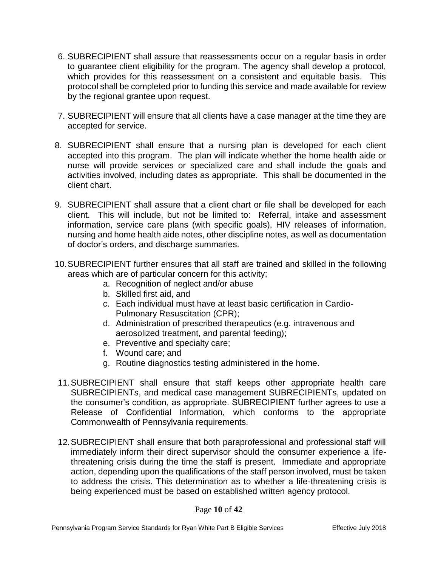- 6. SUBRECIPIENT shall assure that reassessments occur on a regular basis in order to guarantee client eligibility for the program. The agency shall develop a protocol, which provides for this reassessment on a consistent and equitable basis. This protocol shall be completed prior to funding this service and made available for review by the regional grantee upon request.
- 7. SUBRECIPIENT will ensure that all clients have a case manager at the time they are accepted for service.
- 8. SUBRECIPIENT shall ensure that a nursing plan is developed for each client accepted into this program. The plan will indicate whether the home health aide or nurse will provide services or specialized care and shall include the goals and activities involved, including dates as appropriate. This shall be documented in the client chart.
- 9. SUBRECIPIENT shall assure that a client chart or file shall be developed for each client. This will include, but not be limited to: Referral, intake and assessment information, service care plans (with specific goals), HIV releases of information, nursing and home health aide notes, other discipline notes, as well as documentation of doctor's orders, and discharge summaries.
- 10.SUBRECIPIENT further ensures that all staff are trained and skilled in the following areas which are of particular concern for this activity;
	- a. Recognition of neglect and/or abuse
	- b. Skilled first aid, and
	- c. Each individual must have at least basic certification in Cardio-Pulmonary Resuscitation (CPR);
	- d. Administration of prescribed therapeutics (e.g. intravenous and aerosolized treatment, and parental feeding);
	- e. Preventive and specialty care;
	- f. Wound care; and
	- g. Routine diagnostics testing administered in the home.
- 11.SUBRECIPIENT shall ensure that staff keeps other appropriate health care SUBRECIPIENTs, and medical case management SUBRECIPIENTs, updated on the consumer's condition, as appropriate. SUBRECIPIENT further agrees to use a Release of Confidential Information, which conforms to the appropriate Commonwealth of Pennsylvania requirements.
- 12.SUBRECIPIENT shall ensure that both paraprofessional and professional staff will immediately inform their direct supervisor should the consumer experience a lifethreatening crisis during the time the staff is present. Immediate and appropriate action, depending upon the qualifications of the staff person involved, must be taken to address the crisis. This determination as to whether a life-threatening crisis is being experienced must be based on established written agency protocol.

#### Page **10** of **42**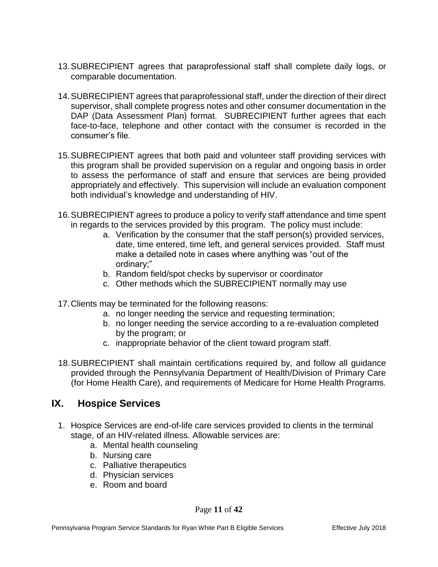- 13.SUBRECIPIENT agrees that paraprofessional staff shall complete daily logs, or comparable documentation.
- 14.SUBRECIPIENT agrees that paraprofessional staff, under the direction of their direct supervisor, shall complete progress notes and other consumer documentation in the DAP (Data Assessment Plan) format. SUBRECIPIENT further agrees that each face-to-face, telephone and other contact with the consumer is recorded in the consumer's file.
- 15.SUBRECIPIENT agrees that both paid and volunteer staff providing services with this program shall be provided supervision on a regular and ongoing basis in order to assess the performance of staff and ensure that services are being provided appropriately and effectively. This supervision will include an evaluation component both individual's knowledge and understanding of HIV.
- 16.SUBRECIPIENT agrees to produce a policy to verify staff attendance and time spent in regards to the services provided by this program. The policy must include:
	- a. Verification by the consumer that the staff person(s) provided services, date, time entered, time left, and general services provided. Staff must make a detailed note in cases where anything was "out of the ordinary;"
	- b. Random field/spot checks by supervisor or coordinator
	- c. Other methods which the SUBRECIPIENT normally may use
- 17.Clients may be terminated for the following reasons:
	- a. no longer needing the service and requesting termination;
	- b. no longer needing the service according to a re-evaluation completed by the program; or
	- c. inappropriate behavior of the client toward program staff.
- 18.SUBRECIPIENT shall maintain certifications required by, and follow all guidance provided through the Pennsylvania Department of Health/Division of Primary Care (for Home Health Care), and requirements of Medicare for Home Health Programs.

#### **IX. Hospice Services**

- 1. Hospice Services are end-of-life care services provided to clients in the terminal stage, of an HIV-related illness. Allowable services are:
	- a. Mental health counseling
	- b. Nursing care
	- c. Palliative therapeutics
	- d. Physician services
	- e. Room and board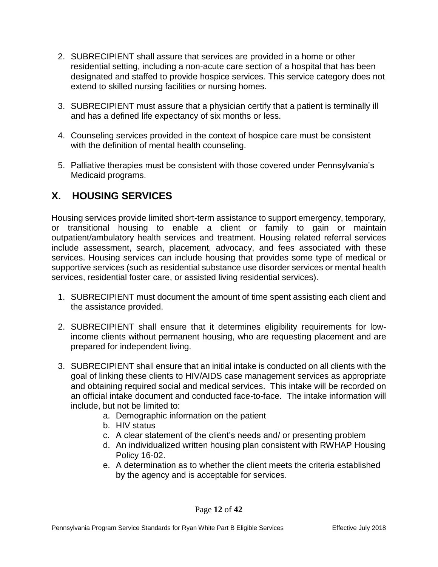- 2. SUBRECIPIENT shall assure that services are provided in a home or other residential setting, including a non-acute care section of a hospital that has been designated and staffed to provide hospice services. This service category does not extend to skilled nursing facilities or nursing homes.
- 3. SUBRECIPIENT must assure that a physician certify that a patient is terminally ill and has a defined life expectancy of six months or less.
- 4. Counseling services provided in the context of hospice care must be consistent with the definition of mental health counseling.
- 5. Palliative therapies must be consistent with those covered under Pennsylvania's Medicaid programs.

# **X. HOUSING SERVICES**

Housing services provide limited short-term assistance to support emergency, temporary, or transitional housing to enable a client or family to gain or maintain outpatient/ambulatory health services and treatment. Housing related referral services include assessment, search, placement, advocacy, and fees associated with these services. Housing services can include housing that provides some type of medical or supportive services (such as residential substance use disorder services or mental health services, residential foster care, or assisted living residential services).

- 1. SUBRECIPIENT must document the amount of time spent assisting each client and the assistance provided.
- 2. SUBRECIPIENT shall ensure that it determines eligibility requirements for lowincome clients without permanent housing, who are requesting placement and are prepared for independent living.
- 3. SUBRECIPIENT shall ensure that an initial intake is conducted on all clients with the goal of linking these clients to HIV/AIDS case management services as appropriate and obtaining required social and medical services. This intake will be recorded on an official intake document and conducted face-to-face. The intake information will include, but not be limited to:
	- a. Demographic information on the patient
	- b. HIV status
	- c. A clear statement of the client's needs and/ or presenting problem
	- d. An individualized written housing plan consistent with RWHAP Housing Policy 16-02.
	- e. A determination as to whether the client meets the criteria established by the agency and is acceptable for services.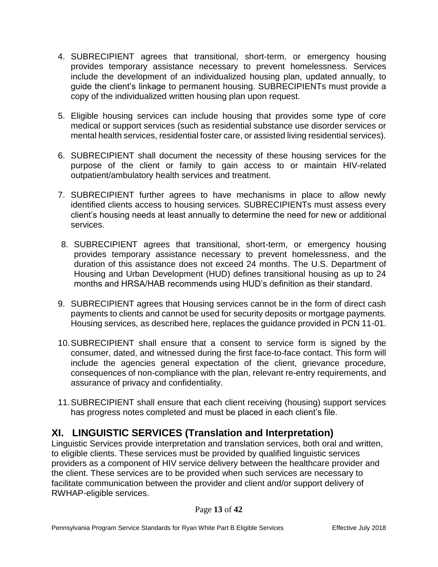- 4. SUBRECIPIENT agrees that transitional, short-term, or emergency housing provides temporary assistance necessary to prevent homelessness. Services include the development of an individualized housing plan, updated annually, to guide the client's linkage to permanent housing. SUBRECIPIENTs must provide a copy of the individualized written housing plan upon request.
- 5. Eligible housing services can include housing that provides some type of core medical or support services (such as residential substance use disorder services or mental health services, residential foster care, or assisted living residential services).
- 6. SUBRECIPIENT shall document the necessity of these housing services for the purpose of the client or family to gain access to or maintain HIV-related outpatient/ambulatory health services and treatment.
- 7. SUBRECIPIENT further agrees to have mechanisms in place to allow newly identified clients access to housing services. SUBRECIPIENTs must assess every client's housing needs at least annually to determine the need for new or additional services.
- 8. SUBRECIPIENT agrees that transitional, short-term, or emergency housing provides temporary assistance necessary to prevent homelessness, and the duration of this assistance does not exceed 24 months. The U.S. Department of Housing and Urban Development (HUD) defines transitional housing as up to 24 months and HRSA/HAB recommends using HUD's definition as their standard.
- 9. SUBRECIPIENT agrees that Housing services cannot be in the form of direct cash payments to clients and cannot be used for security deposits or mortgage payments. Housing services, as described here, replaces the guidance provided in PCN 11-01.
- 10.SUBRECIPIENT shall ensure that a consent to service form is signed by the consumer, dated, and witnessed during the first face-to-face contact. This form will include the agencies general expectation of the client, grievance procedure, consequences of non-compliance with the plan, relevant re-entry requirements, and assurance of privacy and confidentiality.
- 11.SUBRECIPIENT shall ensure that each client receiving (housing) support services has progress notes completed and must be placed in each client's file.

# **XI. LINGUISTIC SERVICES (Translation and Interpretation)**

Linguistic Services provide interpretation and translation services, both oral and written, to eligible clients. These services must be provided by qualified linguistic services providers as a component of HIV service delivery between the healthcare provider and the client. These services are to be provided when such services are necessary to facilitate communication between the provider and client and/or support delivery of RWHAP-eligible services.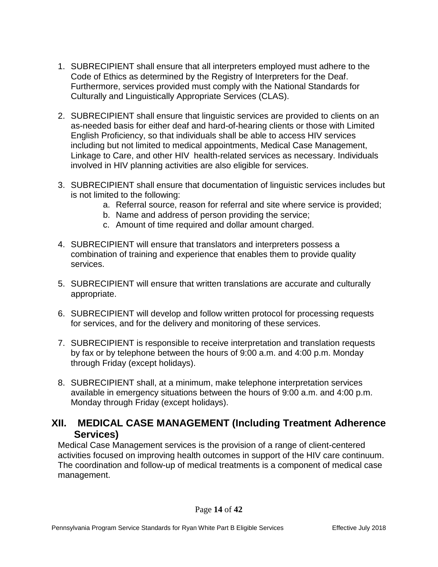- 1. SUBRECIPIENT shall ensure that all interpreters employed must adhere to the Code of Ethics as determined by the Registry of Interpreters for the Deaf. Furthermore, services provided must comply with the National Standards for Culturally and Linguistically Appropriate Services (CLAS).
- 2. SUBRECIPIENT shall ensure that linguistic services are provided to clients on an as-needed basis for either deaf and hard-of-hearing clients or those with Limited English Proficiency, so that individuals shall be able to access HIV services including but not limited to medical appointments, Medical Case Management, Linkage to Care, and other HIV health-related services as necessary. Individuals involved in HIV planning activities are also eligible for services.
- 3. SUBRECIPIENT shall ensure that documentation of linguistic services includes but is not limited to the following:
	- a. Referral source, reason for referral and site where service is provided;
	- b. Name and address of person providing the service;
	- c. Amount of time required and dollar amount charged.
- 4. SUBRECIPIENT will ensure that translators and interpreters possess a combination of training and experience that enables them to provide quality services.
- 5. SUBRECIPIENT will ensure that written translations are accurate and culturally appropriate.
- 6. SUBRECIPIENT will develop and follow written protocol for processing requests for services, and for the delivery and monitoring of these services.
- 7. SUBRECIPIENT is responsible to receive interpretation and translation requests by fax or by telephone between the hours of 9:00 a.m. and 4:00 p.m. Monday through Friday (except holidays).
- 8. SUBRECIPIENT shall, at a minimum, make telephone interpretation services available in emergency situations between the hours of 9:00 a.m. and 4:00 p.m. Monday through Friday (except holidays).

#### **XII. MEDICAL CASE MANAGEMENT (Including Treatment Adherence Services)**

Medical Case Management services is the provision of a range of client-centered activities focused on improving health outcomes in support of the HIV care continuum. The coordination and follow-up of medical treatments is a component of medical case management.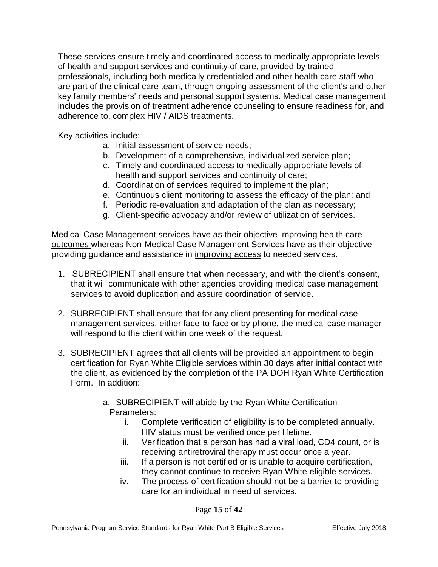These services ensure timely and coordinated access to medically appropriate levels of health and support services and continuity of care, provided by trained professionals, including both medically credentialed and other health care staff who are part of the clinical care team, through ongoing assessment of the client's and other key family members' needs and personal support systems. Medical case management includes the provision of treatment adherence counseling to ensure readiness for, and adherence to, complex HIV / AIDS treatments.

Key activities include:

- a. Initial assessment of service needs;
- b. Development of a comprehensive, individualized service plan;
- c. Timely and coordinated access to medically appropriate levels of health and support services and continuity of care;
- d. Coordination of services required to implement the plan;
- e. Continuous client monitoring to assess the efficacy of the plan; and
- f. Periodic re-evaluation and adaptation of the plan as necessary;
- g. Client-specific advocacy and/or review of utilization of services.

Medical Case Management services have as their objective improving health care outcomes whereas Non-Medical Case Management Services have as their objective providing guidance and assistance in improving access to needed services.

- 1. SUBRECIPIENT shall ensure that when necessary, and with the client's consent, that it will communicate with other agencies providing medical case management services to avoid duplication and assure coordination of service.
- 2. SUBRECIPIENT shall ensure that for any client presenting for medical case management services, either face-to-face or by phone, the medical case manager will respond to the client within one week of the request.
- 3. SUBRECIPIENT agrees that all clients will be provided an appointment to begin certification for Ryan White Eligible services within 30 days after initial contact with the client, as evidenced by the completion of the PA DOH Ryan White Certification Form. In addition:
	- a. SUBRECIPIENT will abide by the Ryan White Certification Parameters:
		- i. Complete verification of eligibility is to be completed annually. HIV status must be verified once per lifetime.
		- ii. Verification that a person has had a viral load, CD4 count, or is receiving antiretroviral therapy must occur once a year.
		- iii. If a person is not certified or is unable to acquire certification, they cannot continue to receive Ryan White eligible services.
		- iv. The process of certification should not be a barrier to providing care for an individual in need of services.

Page **15** of **42**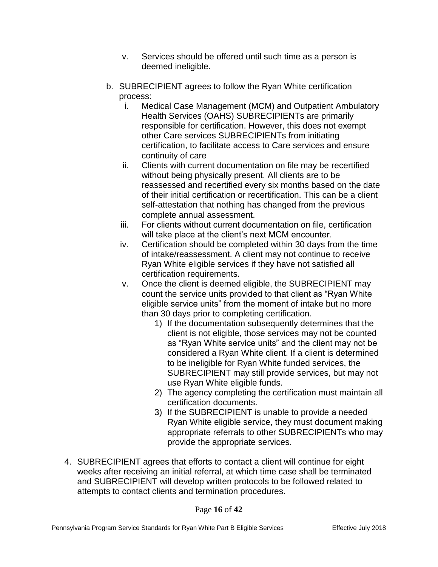- v. Services should be offered until such time as a person is deemed ineligible.
- b. SUBRECIPIENT agrees to follow the Ryan White certification process:
	- i. Medical Case Management (MCM) and Outpatient Ambulatory Health Services (OAHS) SUBRECIPIENTs are primarily responsible for certification. However, this does not exempt other Care services SUBRECIPIENTs from initiating certification, to facilitate access to Care services and ensure continuity of care
	- ii. Clients with current documentation on file may be recertified without being physically present. All clients are to be reassessed and recertified every six months based on the date of their initial certification or recertification. This can be a client self-attestation that nothing has changed from the previous complete annual assessment.
	- iii. For clients without current documentation on file, certification will take place at the client's next MCM encounter.
	- iv. Certification should be completed within 30 days from the time of intake/reassessment. A client may not continue to receive Ryan White eligible services if they have not satisfied all certification requirements.
	- v. Once the client is deemed eligible, the SUBRECIPIENT may count the service units provided to that client as "Ryan White eligible service units" from the moment of intake but no more than 30 days prior to completing certification.
		- 1) If the documentation subsequently determines that the client is not eligible, those services may not be counted as "Ryan White service units" and the client may not be considered a Ryan White client. If a client is determined to be ineligible for Ryan White funded services, the SUBRECIPIENT may still provide services, but may not use Ryan White eligible funds.
		- 2) The agency completing the certification must maintain all certification documents.
		- 3) If the SUBRECIPIENT is unable to provide a needed Ryan White eligible service, they must document making appropriate referrals to other SUBRECIPIENTs who may provide the appropriate services.
- 4. SUBRECIPIENT agrees that efforts to contact a client will continue for eight weeks after receiving an initial referral, at which time case shall be terminated and SUBRECIPIENT will develop written protocols to be followed related to attempts to contact clients and termination procedures.

#### Page **16** of **42**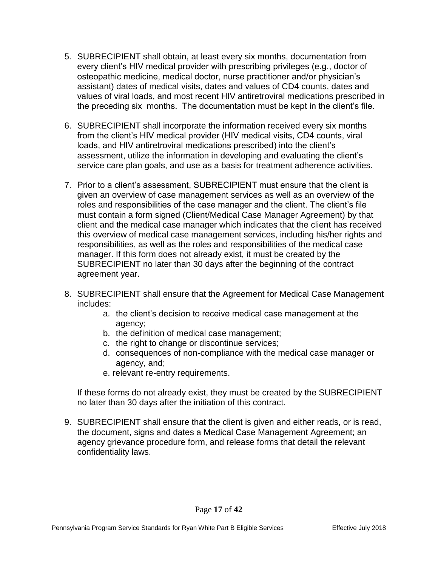- 5. SUBRECIPIENT shall obtain, at least every six months, documentation from every client's HIV medical provider with prescribing privileges (e.g., doctor of osteopathic medicine, medical doctor, nurse practitioner and/or physician's assistant) dates of medical visits, dates and values of CD4 counts, dates and values of viral loads, and most recent HIV antiretroviral medications prescribed in the preceding six months. The documentation must be kept in the client's file.
- 6. SUBRECIPIENT shall incorporate the information received every six months from the client's HIV medical provider (HIV medical visits, CD4 counts, viral loads, and HIV antiretroviral medications prescribed) into the client's assessment, utilize the information in developing and evaluating the client's service care plan goals, and use as a basis for treatment adherence activities.
- 7. Prior to a client's assessment, SUBRECIPIENT must ensure that the client is given an overview of case management services as well as an overview of the roles and responsibilities of the case manager and the client. The client's file must contain a form signed (Client/Medical Case Manager Agreement) by that client and the medical case manager which indicates that the client has received this overview of medical case management services, including his/her rights and responsibilities, as well as the roles and responsibilities of the medical case manager. If this form does not already exist, it must be created by the SUBRECIPIENT no later than 30 days after the beginning of the contract agreement year.
- 8. SUBRECIPIENT shall ensure that the Agreement for Medical Case Management includes:
	- a. the client's decision to receive medical case management at the agency;
	- b. the definition of medical case management;
	- c. the right to change or discontinue services;
	- d. consequences of non-compliance with the medical case manager or agency, and;
	- e. relevant re-entry requirements.

If these forms do not already exist, they must be created by the SUBRECIPIENT no later than 30 days after the initiation of this contract.

9. SUBRECIPIENT shall ensure that the client is given and either reads, or is read, the document, signs and dates a Medical Case Management Agreement; an agency grievance procedure form, and release forms that detail the relevant confidentiality laws.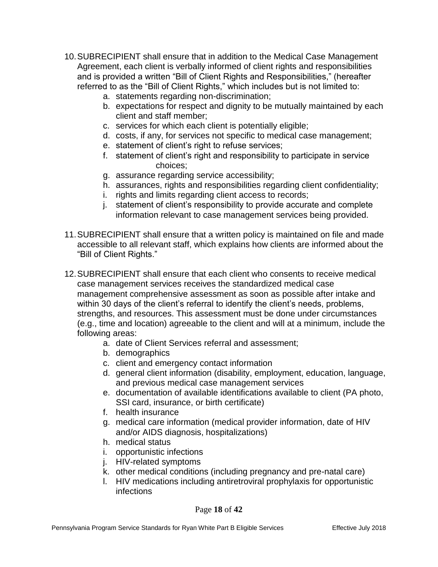- 10.SUBRECIPIENT shall ensure that in addition to the Medical Case Management Agreement, each client is verbally informed of client rights and responsibilities and is provided a written "Bill of Client Rights and Responsibilities," (hereafter referred to as the "Bill of Client Rights," which includes but is not limited to:
	- a. statements regarding non-discrimination;
	- b. expectations for respect and dignity to be mutually maintained by each client and staff member;
	- c. services for which each client is potentially eligible;
	- d. costs, if any, for services not specific to medical case management;
	- e. statement of client's right to refuse services;
	- f. statement of client's right and responsibility to participate in service choices;
	- g. assurance regarding service accessibility;
	- h. assurances, rights and responsibilities regarding client confidentiality;
	- i. rights and limits regarding client access to records;
	- j. statement of client's responsibility to provide accurate and complete information relevant to case management services being provided.
- 11.SUBRECIPIENT shall ensure that a written policy is maintained on file and made accessible to all relevant staff, which explains how clients are informed about the "Bill of Client Rights."
- 12.SUBRECIPIENT shall ensure that each client who consents to receive medical case management services receives the standardized medical case management comprehensive assessment as soon as possible after intake and within 30 days of the client's referral to identify the client's needs, problems, strengths, and resources. This assessment must be done under circumstances (e.g., time and location) agreeable to the client and will at a minimum, include the following areas:
	- a. date of Client Services referral and assessment;
	- b. demographics
	- c. client and emergency contact information
	- d. general client information (disability, employment, education, language, and previous medical case management services
	- e. documentation of available identifications available to client (PA photo, SSI card, insurance, or birth certificate)
	- f. health insurance
	- g. medical care information (medical provider information, date of HIV and/or AIDS diagnosis, hospitalizations)
	- h. medical status
	- i. opportunistic infections
	- j. HIV-related symptoms
	- k. other medical conditions (including pregnancy and pre-natal care)
	- l. HIV medications including antiretroviral prophylaxis for opportunistic infections

#### Page **18** of **42**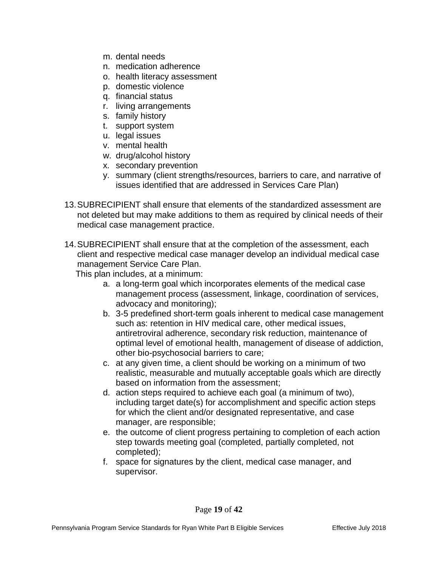- m. dental needs
- n. medication adherence
- o. health literacy assessment
- p. domestic violence
- q. financial status
- r. living arrangements
- s. family history
- t. support system
- u. legal issues
- v. mental health
- w. drug/alcohol history
- x. secondary prevention
- y. summary (client strengths/resources, barriers to care, and narrative of issues identified that are addressed in Services Care Plan)
- 13.SUBRECIPIENT shall ensure that elements of the standardized assessment are not deleted but may make additions to them as required by clinical needs of their medical case management practice.
- 14.SUBRECIPIENT shall ensure that at the completion of the assessment, each client and respective medical case manager develop an individual medical case management Service Care Plan.
	- This plan includes, at a minimum:
		- a. a long-term goal which incorporates elements of the medical case management process (assessment, linkage, coordination of services, advocacy and monitoring);
		- b. 3-5 predefined short-term goals inherent to medical case management such as: retention in HIV medical care, other medical issues, antiretroviral adherence, secondary risk reduction, maintenance of optimal level of emotional health, management of disease of addiction, other bio-psychosocial barriers to care;
		- c. at any given time, a client should be working on a minimum of two realistic, measurable and mutually acceptable goals which are directly based on information from the assessment;
		- d. action steps required to achieve each goal (a minimum of two), including target date(s) for accomplishment and specific action steps for which the client and/or designated representative, and case manager, are responsible;
		- e. the outcome of client progress pertaining to completion of each action step towards meeting goal (completed, partially completed, not completed);
		- f. space for signatures by the client, medical case manager, and supervisor.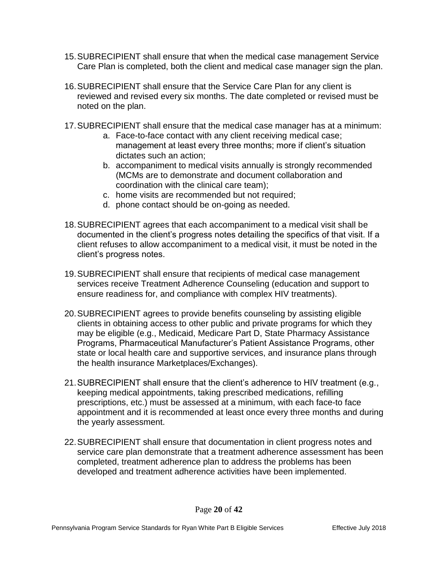- 15.SUBRECIPIENT shall ensure that when the medical case management Service Care Plan is completed, both the client and medical case manager sign the plan.
- 16.SUBRECIPIENT shall ensure that the Service Care Plan for any client is reviewed and revised every six months. The date completed or revised must be noted on the plan.
- 17.SUBRECIPIENT shall ensure that the medical case manager has at a minimum:
	- a. Face-to-face contact with any client receiving medical case; management at least every three months; more if client's situation dictates such an action;
	- b. accompaniment to medical visits annually is strongly recommended (MCMs are to demonstrate and document collaboration and coordination with the clinical care team);
	- c. home visits are recommended but not required;
	- d. phone contact should be on-going as needed.
- 18.SUBRECIPIENT agrees that each accompaniment to a medical visit shall be documented in the client's progress notes detailing the specifics of that visit. If a client refuses to allow accompaniment to a medical visit, it must be noted in the client's progress notes.
- 19.SUBRECIPIENT shall ensure that recipients of medical case management services receive Treatment Adherence Counseling (education and support to ensure readiness for, and compliance with complex HIV treatments).
- 20.SUBRECIPIENT agrees to provide benefits counseling by assisting eligible clients in obtaining access to other public and private programs for which they may be eligible (e.g., Medicaid, Medicare Part D, State Pharmacy Assistance Programs, Pharmaceutical Manufacturer's Patient Assistance Programs, other state or local health care and supportive services, and insurance plans through the health insurance Marketplaces/Exchanges).
- 21.SUBRECIPIENT shall ensure that the client's adherence to HIV treatment (e.g., keeping medical appointments, taking prescribed medications, refilling prescriptions, etc.) must be assessed at a minimum, with each face-to face appointment and it is recommended at least once every three months and during the yearly assessment.
- 22.SUBRECIPIENT shall ensure that documentation in client progress notes and service care plan demonstrate that a treatment adherence assessment has been completed, treatment adherence plan to address the problems has been developed and treatment adherence activities have been implemented.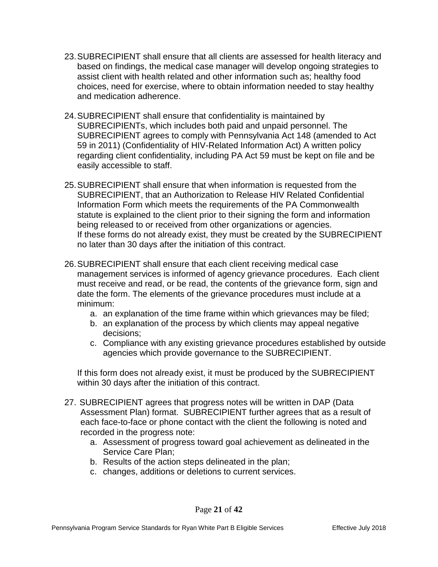- 23.SUBRECIPIENT shall ensure that all clients are assessed for health literacy and based on findings, the medical case manager will develop ongoing strategies to assist client with health related and other information such as; healthy food choices, need for exercise, where to obtain information needed to stay healthy and medication adherence.
- 24.SUBRECIPIENT shall ensure that confidentiality is maintained by SUBRECIPIENTs, which includes both paid and unpaid personnel. The SUBRECIPIENT agrees to comply with Pennsylvania Act 148 (amended to Act 59 in 2011) (Confidentiality of HIV-Related Information Act) A written policy regarding client confidentiality, including PA Act 59 must be kept on file and be easily accessible to staff.
- 25.SUBRECIPIENT shall ensure that when information is requested from the SUBRECIPIENT, that an Authorization to Release HIV Related Confidential Information Form which meets the requirements of the PA Commonwealth statute is explained to the client prior to their signing the form and information being released to or received from other organizations or agencies. If these forms do not already exist, they must be created by the SUBRECIPIENT no later than 30 days after the initiation of this contract.
- 26.SUBRECIPIENT shall ensure that each client receiving medical case management services is informed of agency grievance procedures. Each client must receive and read, or be read, the contents of the grievance form, sign and date the form. The elements of the grievance procedures must include at a minimum:
	- a. an explanation of the time frame within which grievances may be filed;
	- b. an explanation of the process by which clients may appeal negative decisions;
	- c. Compliance with any existing grievance procedures established by outside agencies which provide governance to the SUBRECIPIENT.

If this form does not already exist, it must be produced by the SUBRECIPIENT within 30 days after the initiation of this contract.

- 27. SUBRECIPIENT agrees that progress notes will be written in DAP (Data Assessment Plan) format. SUBRECIPIENT further agrees that as a result of each face-to-face or phone contact with the client the following is noted and recorded in the progress note:
	- a. Assessment of progress toward goal achievement as delineated in the Service Care Plan;
	- b. Results of the action steps delineated in the plan;
	- c. changes, additions or deletions to current services.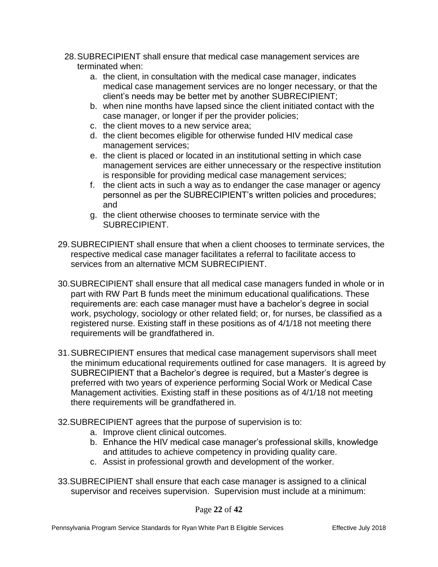- 28.SUBRECIPIENT shall ensure that medical case management services are terminated when:
	- a. the client, in consultation with the medical case manager, indicates medical case management services are no longer necessary, or that the client's needs may be better met by another SUBRECIPIENT;
	- b. when nine months have lapsed since the client initiated contact with the case manager, or longer if per the provider policies;
	- c. the client moves to a new service area;
	- d. the client becomes eligible for otherwise funded HIV medical case management services;
	- e. the client is placed or located in an institutional setting in which case management services are either unnecessary or the respective institution is responsible for providing medical case management services;
	- f. the client acts in such a way as to endanger the case manager or agency personnel as per the SUBRECIPIENT's written policies and procedures; and
	- g. the client otherwise chooses to terminate service with the SUBRECIPIENT.
- 29.SUBRECIPIENT shall ensure that when a client chooses to terminate services, the respective medical case manager facilitates a referral to facilitate access to services from an alternative MCM SUBRECIPIENT.
- 30.SUBRECIPIENT shall ensure that all medical case managers funded in whole or in part with RW Part B funds meet the minimum educational qualifications. These requirements are: each case manager must have a bachelor's degree in social work, psychology, sociology or other related field; or, for nurses, be classified as a registered nurse. Existing staff in these positions as of 4/1/18 not meeting there requirements will be grandfathered in.
- 31.SUBRECIPIENT ensures that medical case management supervisors shall meet the minimum educational requirements outlined for case managers. It is agreed by SUBRECIPIENT that a Bachelor's degree is required, but a Master's degree is preferred with two years of experience performing Social Work or Medical Case Management activities. Existing staff in these positions as of 4/1/18 not meeting there requirements will be grandfathered in.
- 32.SUBRECIPIENT agrees that the purpose of supervision is to:
	- a. Improve client clinical outcomes.
	- b. Enhance the HIV medical case manager's professional skills, knowledge and attitudes to achieve competency in providing quality care.
	- c. Assist in professional growth and development of the worker.
- 33.SUBRECIPIENT shall ensure that each case manager is assigned to a clinical supervisor and receives supervision. Supervision must include at a minimum:

Page **22** of **42**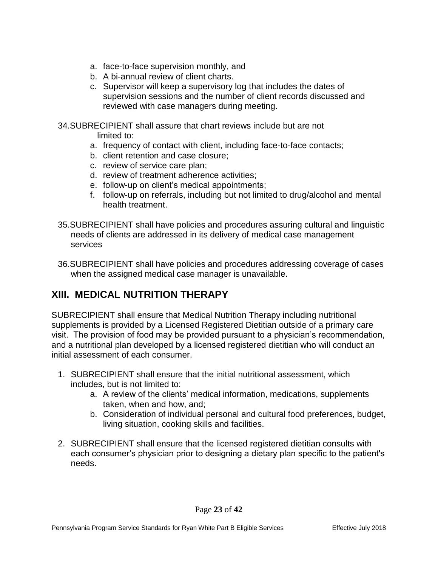- a. face-to-face supervision monthly, and
- b. A bi-annual review of client charts.
- c. Supervisor will keep a supervisory log that includes the dates of supervision sessions and the number of client records discussed and reviewed with case managers during meeting.
- 34.SUBRECIPIENT shall assure that chart reviews include but are not limited to:
	- a. frequency of contact with client, including face-to-face contacts;
	- b. client retention and case closure;
	- c. review of service care plan;
	- d. review of treatment adherence activities;
	- e. follow-up on client's medical appointments;
	- f. follow-up on referrals, including but not limited to drug/alcohol and mental health treatment.
- 35.SUBRECIPIENT shall have policies and procedures assuring cultural and linguistic needs of clients are addressed in its delivery of medical case management services
- 36.SUBRECIPIENT shall have policies and procedures addressing coverage of cases when the assigned medical case manager is unavailable.

#### **XIII. MEDICAL NUTRITION THERAPY**

SUBRECIPIENT shall ensure that Medical Nutrition Therapy including nutritional supplements is provided by a Licensed Registered Dietitian outside of a primary care visit. The provision of food may be provided pursuant to a physician's recommendation, and a nutritional plan developed by a licensed registered dietitian who will conduct an initial assessment of each consumer.

- 1. SUBRECIPIENT shall ensure that the initial nutritional assessment, which includes, but is not limited to:
	- a. A review of the clients' medical information, medications, supplements taken, when and how, and;
	- b. Consideration of individual personal and cultural food preferences, budget, living situation, cooking skills and facilities.
- 2. SUBRECIPIENT shall ensure that the licensed registered dietitian consults with each consumer's physician prior to designing a dietary plan specific to the patient's needs.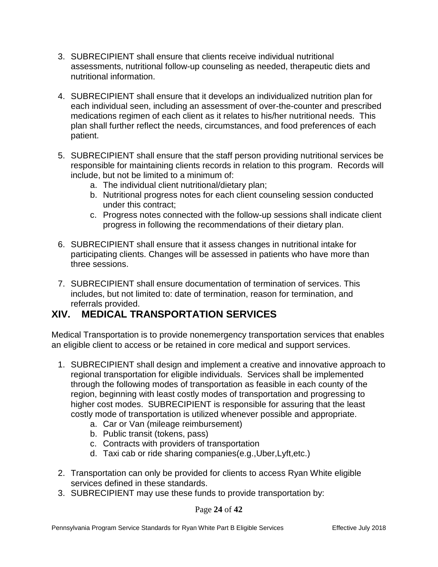- 3. SUBRECIPIENT shall ensure that clients receive individual nutritional assessments, nutritional follow-up counseling as needed, therapeutic diets and nutritional information.
- 4. SUBRECIPIENT shall ensure that it develops an individualized nutrition plan for each individual seen, including an assessment of over-the-counter and prescribed medications regimen of each client as it relates to his/her nutritional needs. This plan shall further reflect the needs, circumstances, and food preferences of each patient.
- 5. SUBRECIPIENT shall ensure that the staff person providing nutritional services be responsible for maintaining clients records in relation to this program. Records will include, but not be limited to a minimum of:
	- a. The individual client nutritional/dietary plan;
	- b. Nutritional progress notes for each client counseling session conducted under this contract;
	- c. Progress notes connected with the follow-up sessions shall indicate client progress in following the recommendations of their dietary plan.
- 6. SUBRECIPIENT shall ensure that it assess changes in nutritional intake for participating clients. Changes will be assessed in patients who have more than three sessions.
- 7. SUBRECIPIENT shall ensure documentation of termination of services. This includes, but not limited to: date of termination, reason for termination, and referrals provided.

# **XIV. MEDICAL TRANSPORTATION SERVICES**

Medical Transportation is to provide nonemergency transportation services that enables an eligible client to access or be retained in core medical and support services.

- 1. SUBRECIPIENT shall design and implement a creative and innovative approach to regional transportation for eligible individuals. Services shall be implemented through the following modes of transportation as feasible in each county of the region, beginning with least costly modes of transportation and progressing to higher cost modes. SUBRECIPIENT is responsible for assuring that the least costly mode of transportation is utilized whenever possible and appropriate.
	- a. Car or Van (mileage reimbursement)
	- b. Public transit (tokens, pass)
	- c. Contracts with providers of transportation
	- d. Taxi cab or ride sharing companies(e.g.,Uber,Lyft,etc.)
- 2. Transportation can only be provided for clients to access Ryan White eligible services defined in these standards.
- 3. SUBRECIPIENT may use these funds to provide transportation by:

Page **24** of **42**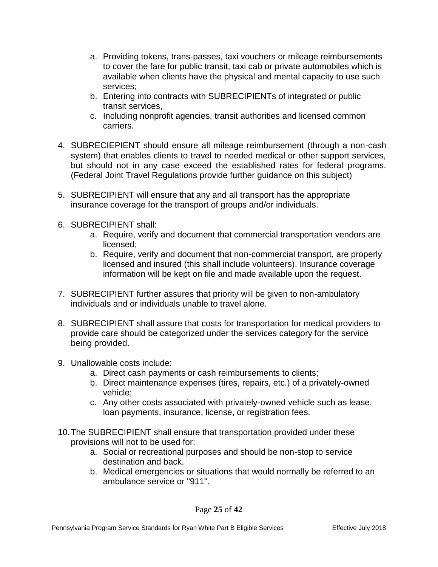- a. Providing tokens, trans-passes, taxi vouchers or mileage reimbursements to cover the fare for public transit, taxi cab or private automobiles which is available when clients have the physical and mental capacity to use such services;
- b. Entering into contracts with SUBRECIPIENTs of integrated or public transit services,
- c. Including nonprofit agencies, transit authorities and licensed common carriers.
- 4. SUBRECIEPIENT should ensure all mileage reimbursement (through a non-cash system) that enables clients to travel to needed medical or other support services, but should not in any case exceed the established rates for federal programs. (Federal Joint Travel Regulations provide further guidance on this subject)
- 5. SUBRECIPIENT will ensure that any and all transport has the appropriate insurance coverage for the transport of groups and/or individuals.
- 6. SUBRECIPIENT shall:
	- a. Require, verify and document that commercial transportation vendors are licensed;
	- b. Require, verify and document that non-commercial transport, are properly licensed and insured (this shall include volunteers). Insurance coverage information will be kept on file and made available upon the request.
- 7. SUBRECIPIENT further assures that priority will be given to non-ambulatory individuals and or individuals unable to travel alone.
- 8. SUBRECIPIENT shall assure that costs for transportation for medical providers to provide care should be categorized under the services category for the service being provided.
- 9. Unallowable costs include:
	- a. Direct cash payments or cash reimbursements to clients;
	- b. Direct maintenance expenses (tires, repairs, etc.) of a privately-owned vehicle;
	- c. Any other costs associated with privately-owned vehicle such as lease, loan payments, insurance, license, or registration fees.
- 10.The SUBRECIPIENT shall ensure that transportation provided under these provisions will not to be used for:
	- a. Social or recreational purposes and should be non-stop to service destination and back.
	- b. Medical emergencies or situations that would normally be referred to an ambulance service or "911".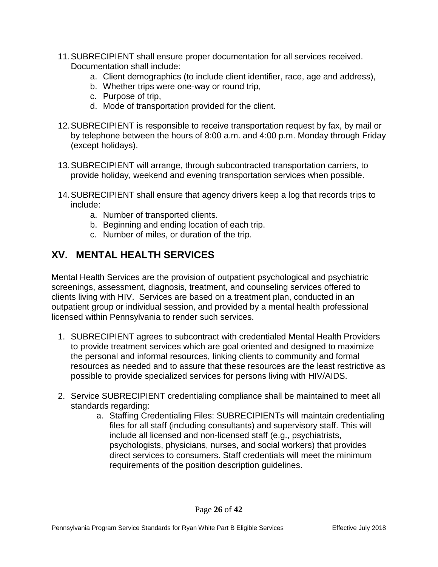- 11.SUBRECIPIENT shall ensure proper documentation for all services received. Documentation shall include:
	- a. Client demographics (to include client identifier, race, age and address),
	- b. Whether trips were one-way or round trip,
	- c. Purpose of trip,
	- d. Mode of transportation provided for the client.
- 12.SUBRECIPIENT is responsible to receive transportation request by fax, by mail or by telephone between the hours of 8:00 a.m. and 4:00 p.m. Monday through Friday (except holidays).
- 13.SUBRECIPIENT will arrange, through subcontracted transportation carriers, to provide holiday, weekend and evening transportation services when possible.
- 14.SUBRECIPIENT shall ensure that agency drivers keep a log that records trips to include:
	- a. Number of transported clients.
	- b. Beginning and ending location of each trip.
	- c. Number of miles, or duration of the trip.

#### **XV. MENTAL HEALTH SERVICES**

Mental Health Services are the provision of outpatient psychological and psychiatric screenings, assessment, diagnosis, treatment, and counseling services offered to clients living with HIV. Services are based on a treatment plan, conducted in an outpatient group or individual session, and provided by a mental health professional licensed within Pennsylvania to render such services.

- 1. SUBRECIPIENT agrees to subcontract with credentialed Mental Health Providers to provide treatment services which are goal oriented and designed to maximize the personal and informal resources, linking clients to community and formal resources as needed and to assure that these resources are the least restrictive as possible to provide specialized services for persons living with HIV/AIDS.
- 2. Service SUBRECIPIENT credentialing compliance shall be maintained to meet all standards regarding:
	- a. Staffing Credentialing Files: SUBRECIPIENTs will maintain credentialing files for all staff (including consultants) and supervisory staff. This will include all licensed and non-licensed staff (e.g., psychiatrists, psychologists, physicians, nurses, and social workers) that provides direct services to consumers. Staff credentials will meet the minimum requirements of the position description guidelines.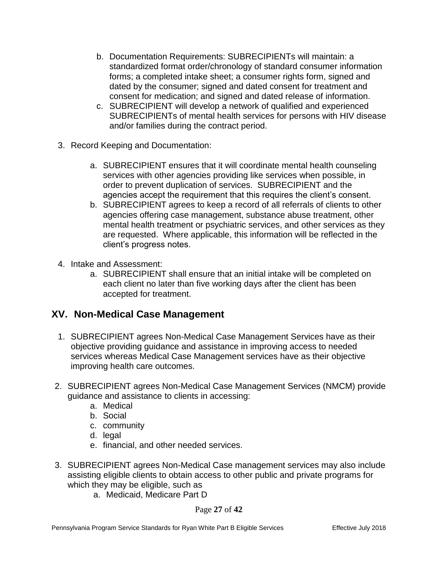- b. Documentation Requirements: SUBRECIPIENTs will maintain: a standardized format order/chronology of standard consumer information forms; a completed intake sheet; a consumer rights form, signed and dated by the consumer; signed and dated consent for treatment and consent for medication; and signed and dated release of information.
- c. SUBRECIPIENT will develop a network of qualified and experienced SUBRECIPIENTs of mental health services for persons with HIV disease and/or families during the contract period.
- 3. Record Keeping and Documentation:
	- a. SUBRECIPIENT ensures that it will coordinate mental health counseling services with other agencies providing like services when possible, in order to prevent duplication of services. SUBRECIPIENT and the agencies accept the requirement that this requires the client's consent.
	- b. SUBRECIPIENT agrees to keep a record of all referrals of clients to other agencies offering case management, substance abuse treatment, other mental health treatment or psychiatric services, and other services as they are requested. Where applicable, this information will be reflected in the client's progress notes.
- 4. Intake and Assessment:
	- a. SUBRECIPIENT shall ensure that an initial intake will be completed on each client no later than five working days after the client has been accepted for treatment.

#### **XV. Non-Medical Case Management**

- 1. SUBRECIPIENT agrees Non-Medical Case Management Services have as their objective providing guidance and assistance in improving access to needed services whereas Medical Case Management services have as their objective improving health care outcomes.
- 2. SUBRECIPIENT agrees Non-Medical Case Management Services (NMCM) provide guidance and assistance to clients in accessing:
	- a. Medical
	- b. Social
	- c. community
	- d. legal
	- e. financial, and other needed services.
- 3. SUBRECIPIENT agrees Non-Medical Case management services may also include assisting eligible clients to obtain access to other public and private programs for which they may be eligible, such as
	- a. Medicaid, Medicare Part D

Page **27** of **42**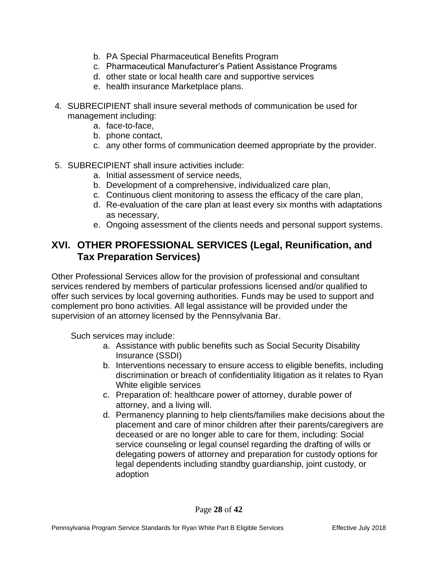- b. PA Special Pharmaceutical Benefits Program
- c. Pharmaceutical Manufacturer's Patient Assistance Programs
- d. other state or local health care and supportive services
- e. health insurance Marketplace plans.
- 4. SUBRECIPIENT shall insure several methods of communication be used for management including:
	- a. face-to-face,
	- b. phone contact,
	- c. any other forms of communication deemed appropriate by the provider.
- 5. SUBRECIPIENT shall insure activities include:
	- a. Initial assessment of service needs,
	- b. Development of a comprehensive, individualized care plan,
	- c. Continuous client monitoring to assess the efficacy of the care plan,
	- d. Re-evaluation of the care plan at least every six months with adaptations as necessary,
	- e. Ongoing assessment of the clients needs and personal support systems.

#### **XVI. OTHER PROFESSIONAL SERVICES (Legal, Reunification, and Tax Preparation Services)**

Other Professional Services allow for the provision of professional and consultant services rendered by members of particular professions licensed and/or qualified to offer such services by local governing authorities. Funds may be used to support and complement pro bono activities. All legal assistance will be provided under the supervision of an attorney licensed by the Pennsylvania Bar.

Such services may include:

- a. Assistance with public benefits such as Social Security Disability Insurance (SSDI)
- b. Interventions necessary to ensure access to eligible benefits, including discrimination or breach of confidentiality litigation as it relates to Ryan White eligible services
- c. Preparation of: healthcare power of attorney, durable power of attorney, and a living will.
- d. Permanency planning to help clients/families make decisions about the placement and care of minor children after their parents/caregivers are deceased or are no longer able to care for them, including: Social service counseling or legal counsel regarding the drafting of wills or delegating powers of attorney and preparation for custody options for legal dependents including standby guardianship, joint custody, or adoption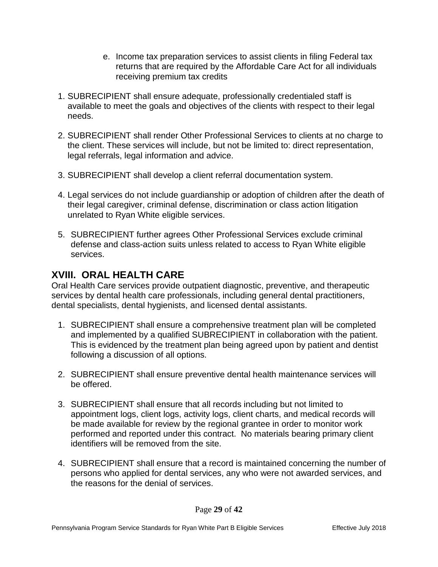- e. Income tax preparation services to assist clients in filing Federal tax returns that are required by the Affordable Care Act for all individuals receiving premium tax credits
- 1. SUBRECIPIENT shall ensure adequate, professionally credentialed staff is available to meet the goals and objectives of the clients with respect to their legal needs.
- 2. SUBRECIPIENT shall render Other Professional Services to clients at no charge to the client. These services will include, but not be limited to: direct representation, legal referrals, legal information and advice.
- 3. SUBRECIPIENT shall develop a client referral documentation system.
- 4. Legal services do not include guardianship or adoption of children after the death of their legal caregiver, criminal defense, discrimination or class action litigation unrelated to Ryan White eligible services.
- 5. SUBRECIPIENT further agrees Other Professional Services exclude criminal defense and class-action suits unless related to access to Ryan White eligible services.

#### **XVIII. ORAL HEALTH CARE**

Oral Health Care services provide outpatient diagnostic, preventive, and therapeutic services by dental health care professionals, including general dental practitioners, dental specialists, dental hygienists, and licensed dental assistants.

- 1. SUBRECIPIENT shall ensure a comprehensive treatment plan will be completed and implemented by a qualified SUBRECIPIENT in collaboration with the patient. This is evidenced by the treatment plan being agreed upon by patient and dentist following a discussion of all options.
- 2. SUBRECIPIENT shall ensure preventive dental health maintenance services will be offered.
- 3. SUBRECIPIENT shall ensure that all records including but not limited to appointment logs, client logs, activity logs, client charts, and medical records will be made available for review by the regional grantee in order to monitor work performed and reported under this contract. No materials bearing primary client identifiers will be removed from the site.
- 4. SUBRECIPIENT shall ensure that a record is maintained concerning the number of persons who applied for dental services, any who were not awarded services, and the reasons for the denial of services.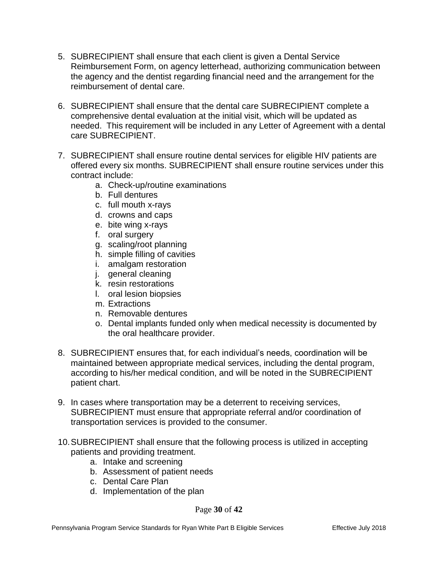- 5. SUBRECIPIENT shall ensure that each client is given a Dental Service Reimbursement Form, on agency letterhead, authorizing communication between the agency and the dentist regarding financial need and the arrangement for the reimbursement of dental care.
- 6. SUBRECIPIENT shall ensure that the dental care SUBRECIPIENT complete a comprehensive dental evaluation at the initial visit, which will be updated as needed. This requirement will be included in any Letter of Agreement with a dental care SUBRECIPIENT.
- 7. SUBRECIPIENT shall ensure routine dental services for eligible HIV patients are offered every six months. SUBRECIPIENT shall ensure routine services under this contract include:
	- a. Check-up/routine examinations
	- b. Full dentures
	- c. full mouth x-rays
	- d. crowns and caps
	- e. bite wing x-rays
	- f. oral surgery
	- g. scaling/root planning
	- h. simple filling of cavities
	- i. amalgam restoration
	- j. general cleaning
	- k. resin restorations
	- l. oral lesion biopsies
	- m. Extractions
	- n. Removable dentures
	- o. Dental implants funded only when medical necessity is documented by the oral healthcare provider.
- 8. SUBRECIPIENT ensures that, for each individual's needs, coordination will be maintained between appropriate medical services, including the dental program, according to his/her medical condition, and will be noted in the SUBRECIPIENT patient chart.
- 9. In cases where transportation may be a deterrent to receiving services, SUBRECIPIENT must ensure that appropriate referral and/or coordination of transportation services is provided to the consumer.
- 10.SUBRECIPIENT shall ensure that the following process is utilized in accepting patients and providing treatment.
	- a. Intake and screening
	- b. Assessment of patient needs
	- c. Dental Care Plan
	- d. Implementation of the plan

Page **30** of **42**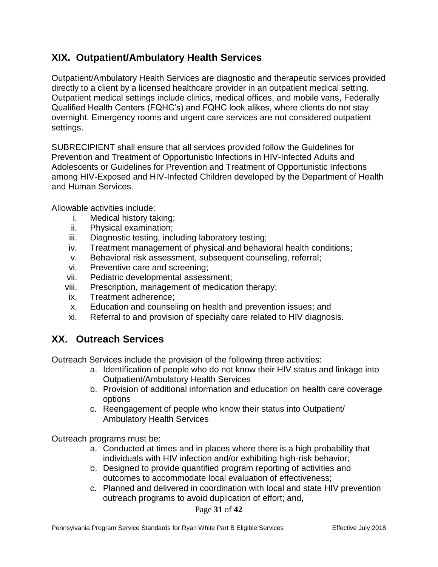#### **XIX. Outpatient/Ambulatory Health Services**

Outpatient/Ambulatory Health Services are diagnostic and therapeutic services provided directly to a client by a licensed healthcare provider in an outpatient medical setting. Outpatient medical settings include clinics, medical offices, and mobile vans, Federally Qualified Health Centers (FQHC's) and FQHC look alikes, where clients do not stay overnight. Emergency rooms and urgent care services are not considered outpatient settings.

SUBRECIPIENT shall ensure that all services provided follow the Guidelines for Prevention and Treatment of Opportunistic Infections in HIV-Infected Adults and Adolescents or Guidelines for Prevention and Treatment of Opportunistic Infections among HIV-Exposed and HIV-Infected Children developed by the Department of Health and Human Services.

Allowable activities include:

- i. Medical history taking;
- ii. Physical examination;
- iii. Diagnostic testing, including laboratory testing;
- iv. Treatment management of physical and behavioral health conditions;
- v. Behavioral risk assessment, subsequent counseling, referral;
- vi. Preventive care and screening;
- vii. Pediatric developmental assessment;
- viii. Prescription, management of medication therapy;
- ix. Treatment adherence;
- x. Education and counseling on health and prevention issues; and
- xi. Referral to and provision of specialty care related to HIV diagnosis.

#### **XX. Outreach Services**

Outreach Services include the provision of the following three activities:

- a. Identification of people who do not know their HIV status and linkage into Outpatient/Ambulatory Health Services
- b. Provision of additional information and education on health care coverage options
- c. Reengagement of people who know their status into Outpatient/ Ambulatory Health Services

Outreach programs must be:

- a. Conducted at times and in places where there is a high probability that individuals with HIV infection and/or exhibiting high-risk behavior;
- b. Designed to provide quantified program reporting of activities and outcomes to accommodate local evaluation of effectiveness;
- c. Planned and delivered in coordination with local and state HIV prevention outreach programs to avoid duplication of effort; and,

#### Page **31** of **42**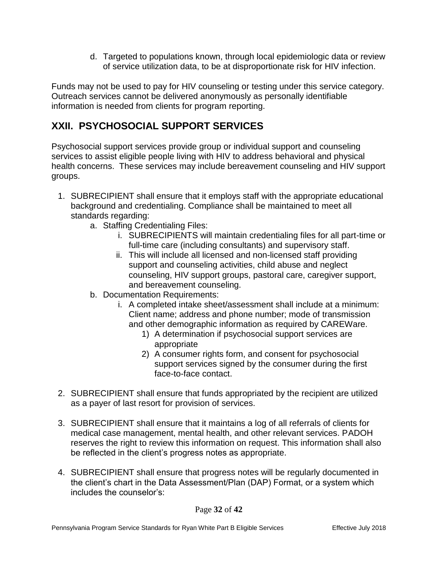d. Targeted to populations known, through local epidemiologic data or review of service utilization data, to be at disproportionate risk for HIV infection.

Funds may not be used to pay for HIV counseling or testing under this service category. Outreach services cannot be delivered anonymously as personally identifiable information is needed from clients for program reporting.

## **XXII. PSYCHOSOCIAL SUPPORT SERVICES**

Psychosocial support services provide group or individual support and counseling services to assist eligible people living with HIV to address behavioral and physical health concerns. These services may include bereavement counseling and HIV support groups.

- 1. SUBRECIPIENT shall ensure that it employs staff with the appropriate educational background and credentialing. Compliance shall be maintained to meet all standards regarding:
	- a. Staffing Credentialing Files:
		- i. SUBRECIPIENTS will maintain credentialing files for all part-time or full-time care (including consultants) and supervisory staff.
		- ii. This will include all licensed and non-licensed staff providing support and counseling activities, child abuse and neglect counseling, HIV support groups, pastoral care, caregiver support, and bereavement counseling.
	- b. Documentation Requirements:
		- i. A completed intake sheet/assessment shall include at a minimum: Client name; address and phone number; mode of transmission and other demographic information as required by CAREWare.
			- 1) A determination if psychosocial support services are appropriate
			- 2) A consumer rights form, and consent for psychosocial support services signed by the consumer during the first face-to-face contact.
- 2. SUBRECIPIENT shall ensure that funds appropriated by the recipient are utilized as a payer of last resort for provision of services.
- 3. SUBRECIPIENT shall ensure that it maintains a log of all referrals of clients for medical case management, mental health, and other relevant services. PADOH reserves the right to review this information on request. This information shall also be reflected in the client's progress notes as appropriate.
- 4. SUBRECIPIENT shall ensure that progress notes will be regularly documented in the client's chart in the Data Assessment/Plan (DAP) Format, or a system which includes the counselor's: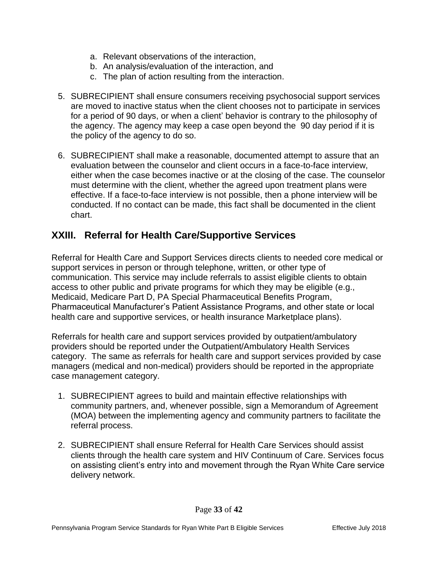- a. Relevant observations of the interaction,
- b. An analysis/evaluation of the interaction, and
- c. The plan of action resulting from the interaction.
- 5. SUBRECIPIENT shall ensure consumers receiving psychosocial support services are moved to inactive status when the client chooses not to participate in services for a period of 90 days, or when a client' behavior is contrary to the philosophy of the agency. The agency may keep a case open beyond the 90 day period if it is the policy of the agency to do so.
- 6. SUBRECIPIENT shall make a reasonable, documented attempt to assure that an evaluation between the counselor and client occurs in a face-to-face interview, either when the case becomes inactive or at the closing of the case. The counselor must determine with the client, whether the agreed upon treatment plans were effective. If a face-to-face interview is not possible, then a phone interview will be conducted. If no contact can be made, this fact shall be documented in the client chart.

#### **XXIII. Referral for Health Care/Supportive Services**

Referral for Health Care and Support Services directs clients to needed core medical or support services in person or through telephone, written, or other type of communication. This service may include referrals to assist eligible clients to obtain access to other public and private programs for which they may be eligible (e.g., Medicaid, Medicare Part D, PA Special Pharmaceutical Benefits Program, Pharmaceutical Manufacturer's Patient Assistance Programs, and other state or local health care and supportive services, or health insurance Marketplace plans).

Referrals for health care and support services provided by outpatient/ambulatory providers should be reported under the Outpatient/Ambulatory Health Services category. The same as referrals for health care and support services provided by case managers (medical and non-medical) providers should be reported in the appropriate case management category.

- 1. SUBRECIPIENT agrees to build and maintain effective relationships with community partners, and, whenever possible, sign a Memorandum of Agreement (MOA) between the implementing agency and community partners to facilitate the referral process.
- 2. SUBRECIPIENT shall ensure Referral for Health Care Services should assist clients through the health care system and HIV Continuum of Care. Services focus on assisting client's entry into and movement through the Ryan White Care service delivery network.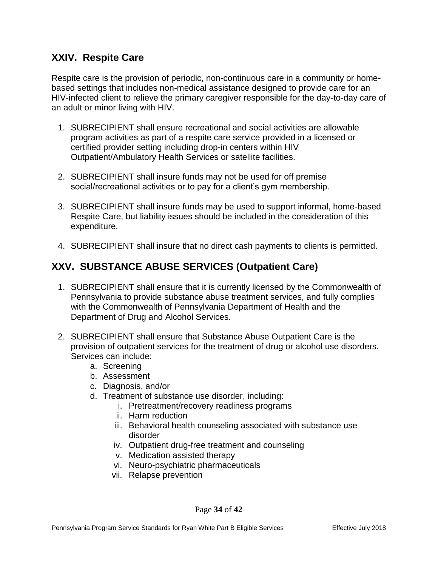#### **XXIV. Respite Care**

Respite care is the provision of periodic, non-continuous care in a community or homebased settings that includes non-medical assistance designed to provide care for an HIV-infected client to relieve the primary caregiver responsible for the day-to-day care of an adult or minor living with HIV.

- 1. SUBRECIPIENT shall ensure recreational and social activities are allowable program activities as part of a respite care service provided in a licensed or certified provider setting including drop-in centers within HIV Outpatient/Ambulatory Health Services or satellite facilities.
- 2. SUBRECIPIENT shall insure funds may not be used for off premise social/recreational activities or to pay for a client's gym membership.
- 3. SUBRECIPIENT shall insure funds may be used to support informal, home-based Respite Care, but liability issues should be included in the consideration of this expenditure.
- 4. SUBRECIPIENT shall insure that no direct cash payments to clients is permitted.

## **XXV. SUBSTANCE ABUSE SERVICES (Outpatient Care)**

- 1. SUBRECIPIENT shall ensure that it is currently licensed by the Commonwealth of Pennsylvania to provide substance abuse treatment services, and fully complies with the Commonwealth of Pennsylvania Department of Health and the Department of Drug and Alcohol Services.
- 2. SUBRECIPIENT shall ensure that Substance Abuse Outpatient Care is the provision of outpatient services for the treatment of drug or alcohol use disorders. Services can include:
	- a. Screening
	- b. Assessment
	- c. Diagnosis, and/or
	- d. Treatment of substance use disorder, including:
		- i. Pretreatment/recovery readiness programs
		- ii. Harm reduction
		- iii. Behavioral health counseling associated with substance use disorder
		- iv. Outpatient drug-free treatment and counseling
		- v. Medication assisted therapy
		- vi. Neuro-psychiatric pharmaceuticals
		- vii. Relapse prevention

Page **34** of **42**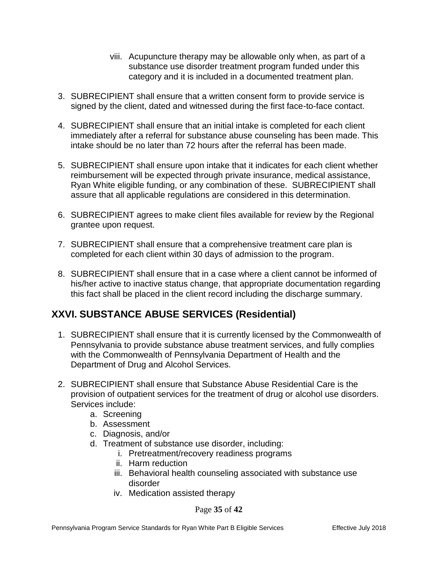- viii. Acupuncture therapy may be allowable only when, as part of a substance use disorder treatment program funded under this category and it is included in a documented treatment plan.
- 3. SUBRECIPIENT shall ensure that a written consent form to provide service is signed by the client, dated and witnessed during the first face-to-face contact.
- 4. SUBRECIPIENT shall ensure that an initial intake is completed for each client immediately after a referral for substance abuse counseling has been made. This intake should be no later than 72 hours after the referral has been made.
- 5. SUBRECIPIENT shall ensure upon intake that it indicates for each client whether reimbursement will be expected through private insurance, medical assistance, Ryan White eligible funding, or any combination of these. SUBRECIPIENT shall assure that all applicable regulations are considered in this determination.
- 6. SUBRECIPIENT agrees to make client files available for review by the Regional grantee upon request.
- 7. SUBRECIPIENT shall ensure that a comprehensive treatment care plan is completed for each client within 30 days of admission to the program.
- 8. SUBRECIPIENT shall ensure that in a case where a client cannot be informed of his/her active to inactive status change, that appropriate documentation regarding this fact shall be placed in the client record including the discharge summary.

#### **XXVI. SUBSTANCE ABUSE SERVICES (Residential)**

- 1. SUBRECIPIENT shall ensure that it is currently licensed by the Commonwealth of Pennsylvania to provide substance abuse treatment services, and fully complies with the Commonwealth of Pennsylvania Department of Health and the Department of Drug and Alcohol Services.
- 2. SUBRECIPIENT shall ensure that Substance Abuse Residential Care is the provision of outpatient services for the treatment of drug or alcohol use disorders. Services include:
	- a. Screening
	- b. Assessment
	- c. Diagnosis, and/or
	- d. Treatment of substance use disorder, including:
		- i. Pretreatment/recovery readiness programs
		- ii. Harm reduction
		- iii. Behavioral health counseling associated with substance use disorder
		- iv. Medication assisted therapy

#### Page **35** of **42**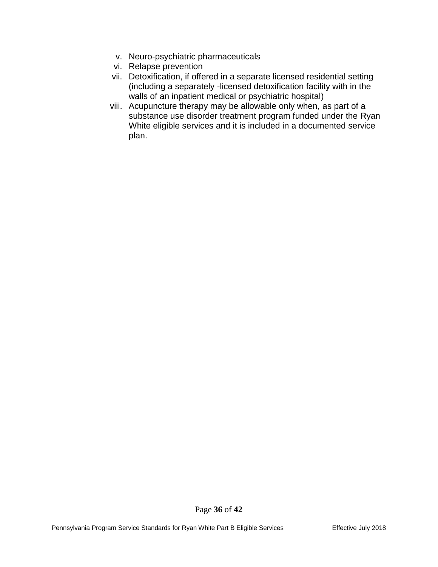- v. Neuro-psychiatric pharmaceuticals
- vi. Relapse prevention
- vii. Detoxification, if offered in a separate licensed residential setting (including a separately -licensed detoxification facility with in the walls of an inpatient medical or psychiatric hospital)
- viii. Acupuncture therapy may be allowable only when, as part of a substance use disorder treatment program funded under the Ryan White eligible services and it is included in a documented service plan.

Page **36** of **42**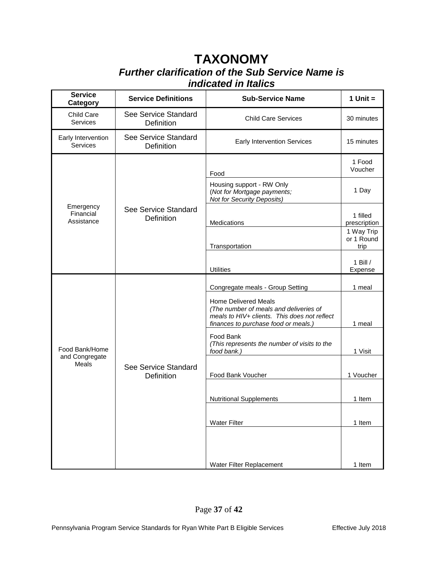# **TAXONOMY** *Further clarification of the Sub Service Name is indicated in Italics*

| <b>Service</b><br>Category           | <b>Service Definitions</b>         | <b>Sub-Service Name</b>                                                                                                                                       | 1 Unit $=$                       |
|--------------------------------------|------------------------------------|---------------------------------------------------------------------------------------------------------------------------------------------------------------|----------------------------------|
| Child Care<br>Services               | See Service Standard<br>Definition | <b>Child Care Services</b>                                                                                                                                    | 30 minutes                       |
| Early Intervention<br>Services       | See Service Standard<br>Definition | <b>Early Intervention Services</b>                                                                                                                            | 15 minutes                       |
|                                      |                                    | Food                                                                                                                                                          | 1 Food<br>Voucher                |
|                                      | See Service Standard<br>Definition | Housing support - RW Only<br>(Not for Mortgage payments;<br><b>Not for Security Deposits)</b>                                                                 | 1 Day                            |
| Emergency<br>Financial<br>Assistance |                                    | Medications                                                                                                                                                   | 1 filled<br>prescription         |
|                                      |                                    | Transportation                                                                                                                                                | 1 Way Trip<br>or 1 Round<br>trip |
|                                      |                                    | <b>Utilities</b>                                                                                                                                              | 1 Bill $/$<br>Expense            |
|                                      |                                    | Congregate meals - Group Setting                                                                                                                              | 1 meal                           |
|                                      |                                    | <b>Home Delivered Meals</b><br>(The number of meals and deliveries of<br>meals to HIV+ clients. This does not reflect<br>finances to purchase food or meals.) | 1 meal                           |
| Food Bank/Home                       |                                    | Food Bank<br>(This represents the number of visits to the<br>food bank.)                                                                                      | 1 Visit                          |
| and Congregate<br><b>Meals</b>       | See Service Standard<br>Definition | Food Bank Voucher                                                                                                                                             | 1 Voucher                        |
|                                      |                                    | <b>Nutritional Supplements</b>                                                                                                                                | 1 Item                           |
|                                      |                                    | <b>Water Filter</b>                                                                                                                                           | 1 Item                           |
|                                      |                                    |                                                                                                                                                               |                                  |
|                                      |                                    | Water Filter Replacement                                                                                                                                      | 1 Item                           |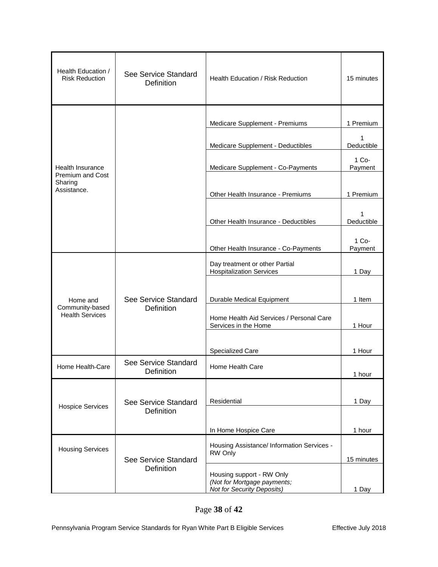| Health Education /<br><b>Risk Reduction</b> | See Service Standard<br><b>Definition</b> | Health Education / Risk Reduction                                                             | 15 minutes       |
|---------------------------------------------|-------------------------------------------|-----------------------------------------------------------------------------------------------|------------------|
|                                             |                                           | Medicare Supplement - Premiums                                                                | 1 Premium        |
|                                             |                                           | Medicare Supplement - Deductibles                                                             | 1<br>Deductible  |
| <b>Health Insurance</b>                     |                                           | Medicare Supplement - Co-Payments                                                             | 1 Co-<br>Payment |
| Premium and Cost<br>Sharing<br>Assistance.  |                                           | Other Health Insurance - Premiums                                                             | 1 Premium        |
|                                             |                                           |                                                                                               |                  |
|                                             |                                           | Other Health Insurance - Deductibles                                                          | Deductible       |
|                                             |                                           | Other Health Insurance - Co-Payments                                                          | 1 Co-<br>Payment |
|                                             |                                           | Day treatment or other Partial<br><b>Hospitalization Services</b>                             | 1 Day            |
| Home and                                    | See Service Standard                      | Durable Medical Equipment                                                                     | 1 Item           |
| Community-based<br><b>Health Services</b>   | Definition                                | Home Health Aid Services / Personal Care<br>Services in the Home                              | 1 Hour           |
|                                             |                                           | Specialized Care                                                                              | 1 Hour           |
| Home Health-Care                            | See Service Standard<br>Definition        | Home Health Care                                                                              | 1 hour           |
|                                             |                                           |                                                                                               |                  |
| <b>Hospice Services</b>                     | See Service Standard<br><b>Definition</b> | Residential                                                                                   | 1 Day            |
|                                             |                                           | In Home Hospice Care                                                                          | 1 hour           |
| <b>Housing Services</b>                     | See Service Standard                      | Housing Assistance/ Information Services -<br>RW Only                                         | 15 minutes       |
|                                             | Definition                                | Housing support - RW Only<br>(Not for Mortgage payments;<br><b>Not for Security Deposits)</b> | 1 Day            |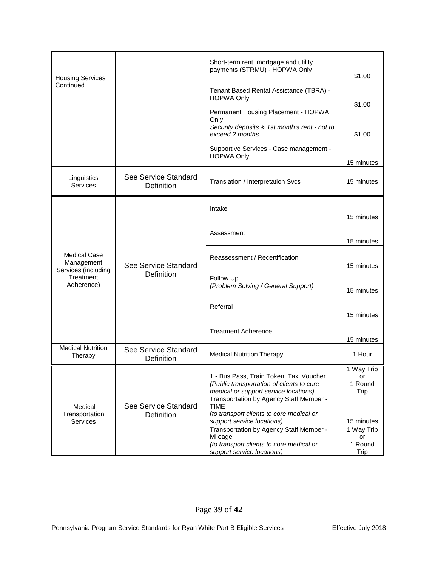|                                                |                                           | Short-term rent, mortgage and utility<br>payments (STRMU) - HOPWA Only               | \$1.00                   |
|------------------------------------------------|-------------------------------------------|--------------------------------------------------------------------------------------|--------------------------|
| <b>Housing Services</b><br>Continued           |                                           |                                                                                      |                          |
|                                                |                                           | Tenant Based Rental Assistance (TBRA) -<br><b>HOPWA Only</b>                         | \$1.00                   |
|                                                |                                           | Permanent Housing Placement - HOPWA                                                  |                          |
|                                                |                                           | Only<br>Security deposits & 1st month's rent - not to<br>exceed 2 months             | \$1.00                   |
|                                                |                                           | Supportive Services - Case management -<br><b>HOPWA Only</b>                         | 15 minutes               |
| Linguistics<br>Services                        | See Service Standard<br>Definition        | Translation / Interpretation Svcs                                                    | 15 minutes               |
|                                                |                                           | Intake                                                                               | 15 minutes               |
|                                                |                                           |                                                                                      |                          |
|                                                |                                           | Assessment                                                                           |                          |
|                                                |                                           |                                                                                      | 15 minutes               |
| <b>Medical Case</b><br>Management              | See Service Standard<br><b>Definition</b> | Reassessment / Recertification                                                       | 15 minutes               |
| Services (including<br>Treatment<br>Adherence) |                                           | Follow Up<br>(Problem Solving / General Support)                                     | 15 minutes               |
|                                                |                                           | Referral                                                                             | 15 minutes               |
|                                                |                                           |                                                                                      |                          |
|                                                |                                           | <b>Treatment Adherence</b>                                                           |                          |
|                                                |                                           |                                                                                      | 15 minutes               |
| <b>Medical Nutrition</b><br>Therapy            | See Service Standard<br>Definition        | <b>Medical Nutrition Therapy</b>                                                     | 1 Hour                   |
|                                                |                                           |                                                                                      | 1 Way Trip               |
|                                                |                                           | 1 - Bus Pass, Train Token, Taxi Voucher<br>(Public transportation of clients to core | or<br>1 Round            |
|                                                |                                           | medical or support service locations)                                                | Trip                     |
|                                                |                                           | Transportation by Agency Staff Member -                                              |                          |
| Medical                                        | See Service Standard                      | TIME                                                                                 |                          |
| Transportation                                 | <b>Definition</b>                         | (to transport clients to core medical or                                             |                          |
| <b>Services</b>                                |                                           | support service locations)<br>Transportation by Agency Staff Member -                | 15 minutes<br>1 Way Trip |
|                                                |                                           | Mileage                                                                              | or                       |
|                                                |                                           | (to transport clients to core medical or                                             | 1 Round                  |
|                                                |                                           | support service locations)                                                           | Trip                     |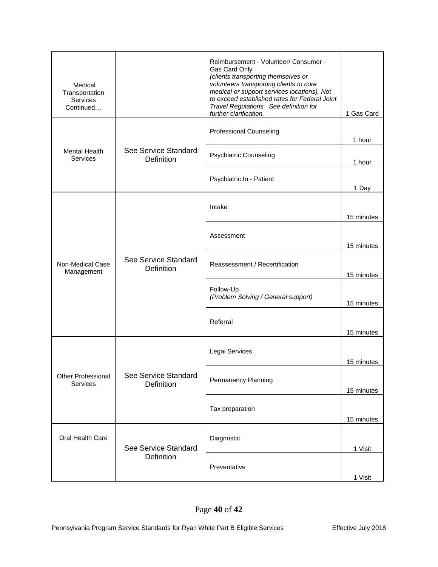| Medical<br>Transportation<br>Services<br>Continued |                                           | Reimbursement - Volunteer/ Consumer -<br>Gas Card Only<br>(clients transporting themselves or<br>volunteers transporting clients to core<br>medical or support services locations), Not<br>to exceed established rates for Federal Joint<br>Travel Regulations. See definition for<br>further clarification. | 1 Gas Card                       |
|----------------------------------------------------|-------------------------------------------|--------------------------------------------------------------------------------------------------------------------------------------------------------------------------------------------------------------------------------------------------------------------------------------------------------------|----------------------------------|
|                                                    |                                           | <b>Professional Counseling</b>                                                                                                                                                                                                                                                                               | 1 hour                           |
| <b>Mental Health</b><br>Services                   | See Service Standard<br>Definition        | <b>Psychiatric Counseling</b>                                                                                                                                                                                                                                                                                | 1 hour                           |
|                                                    |                                           | Psychiatric In - Patient                                                                                                                                                                                                                                                                                     | 1 Day                            |
|                                                    |                                           | Intake                                                                                                                                                                                                                                                                                                       | 15 minutes                       |
|                                                    |                                           | Assessment                                                                                                                                                                                                                                                                                                   | 15 minutes                       |
| Non-Medical Case<br>Management                     | See Service Standard<br><b>Definition</b> | Reassessment / Recertification                                                                                                                                                                                                                                                                               | 15 minutes                       |
|                                                    |                                           | Follow-Up<br>(Problem Solving / General support)                                                                                                                                                                                                                                                             | 15 minutes                       |
|                                                    |                                           | Referral                                                                                                                                                                                                                                                                                                     | 15 minutes                       |
|                                                    |                                           | <b>Legal Services</b>                                                                                                                                                                                                                                                                                        | 15 minutes                       |
| Other Professional<br>Services                     | See Service Standard<br><b>Definition</b> | Permanency Planning                                                                                                                                                                                                                                                                                          | 15 minutes                       |
|                                                    |                                           | Tax preparation                                                                                                                                                                                                                                                                                              | 15 minutes<br>1 Visit<br>1 Visit |
| Oral Health Care                                   | See Service Standard                      | Diagnostic                                                                                                                                                                                                                                                                                                   |                                  |
|                                                    | Definition                                | Preventative                                                                                                                                                                                                                                                                                                 |                                  |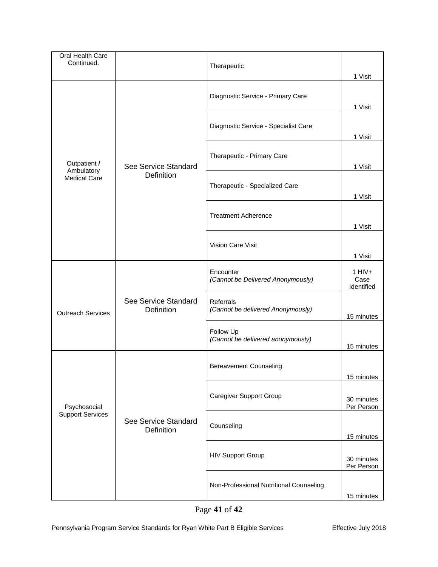| Oral Health Care<br>Continued. |                                           | Therapeutic                                    | 1 Visit                                   |
|--------------------------------|-------------------------------------------|------------------------------------------------|-------------------------------------------|
|                                |                                           | Diagnostic Service - Primary Care              | 1 Visit                                   |
|                                |                                           | Diagnostic Service - Specialist Care           | 1 Visit                                   |
| Outpatient /                   | See Service Standard                      | Therapeutic - Primary Care                     | 1 Visit                                   |
| <b>Medical Care</b>            | Ambulatory<br><b>Definition</b>           | Therapeutic - Specialized Care                 | 1 Visit                                   |
|                                |                                           | <b>Treatment Adherence</b>                     |                                           |
|                                |                                           | Vision Care Visit                              | 1 Visit                                   |
|                                |                                           | Encounter<br>(Cannot be Delivered Anonymously) | 1 Visit<br>$1$ HIV+<br>Case<br>Identified |
| <b>Outreach Services</b>       | See Service Standard<br><b>Definition</b> | Referrals<br>(Cannot be delivered Anonymously) | 15 minutes                                |
|                                |                                           | Follow Up<br>(Cannot be delivered anonymously) | 15 minutes                                |
|                                |                                           | <b>Bereavement Counseling</b>                  | 15 minutes                                |
| Psychosocial                   |                                           | <b>Caregiver Support Group</b>                 | 30 minutes<br>Per Person                  |
| <b>Support Services</b>        | See Service Standard<br><b>Definition</b> | Counseling                                     | 15 minutes                                |
|                                |                                           | <b>HIV Support Group</b>                       | 30 minutes<br>Per Person                  |
|                                |                                           | Non-Professional Nutritional Counseling        | 15 minutes                                |